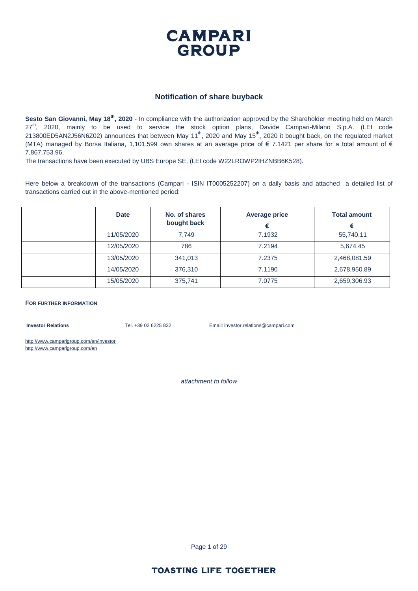

#### **Notification of share buyback**

Sesto San Giovanni, May 18<sup>th</sup>, 2020 - In compliance with the authorization approved by the Shareholder meeting held on March 27<sup>th</sup>, 2020, mainly to be used to service the stock option plans, Davide Campari-Milano S.p.A. (LEI code 213800ED5AN2J56N6Z02) announces that between May 11th, 2020 and May 15th, 2020 it bought back, on the regulated market (MTA) managed by Borsa Italiana, 1,101,599 own shares at an average price of  $\epsilon$  7.1421 per share for a total amount of  $\epsilon$ 7,867,753.96.

The transactions have been executed by UBS Europe SE, (LEI code W22LROWP2IHZNBB6K528).

Here below a breakdown of the transactions (Campari - ISIN IT0005252207) on a daily basis and attached a detailed list of transactions carried out in the above-mentioned period:

| <b>Date</b> | No. of shares<br>bought back | Average price | <b>Total amount</b> |
|-------------|------------------------------|---------------|---------------------|
| 11/05/2020  | 7.749                        | 7.1932        | 55,740.11           |
| 12/05/2020  | 786                          | 7.2194        | 5,674.45            |
| 13/05/2020  | 341,013                      | 7.2375        | 2,468,081.59        |
| 14/05/2020  | 376,310                      | 7.1190        | 2,678,950.89        |
| 15/05/2020  | 375,741                      | 7.0775        | 2,659,306.93        |

**FOR FURTHER INFORMATION**

**Investor Relations** Tel. +39 02 6225 832 Email: investor.relations@campari.com

http://www.camparigroup.com/en/investor http://www.camparigroup.com/en

*attachment to follow*

Page 1 of 29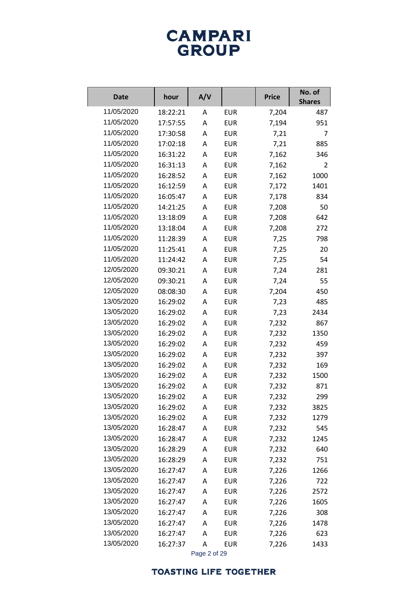# **CAMPARI**<br>GROUP

| <b>Date</b> | hour     | A/V          |            | <b>Price</b> | No. of<br><b>Shares</b> |
|-------------|----------|--------------|------------|--------------|-------------------------|
| 11/05/2020  | 18:22:21 | Α            | <b>EUR</b> | 7,204        | 487                     |
| 11/05/2020  | 17:57:55 | Α            | <b>EUR</b> | 7,194        | 951                     |
| 11/05/2020  | 17:30:58 | A            | <b>EUR</b> | 7,21         | 7                       |
| 11/05/2020  | 17:02:18 | Α            | <b>EUR</b> | 7,21         | 885                     |
| 11/05/2020  | 16:31:22 | A            | <b>EUR</b> | 7,162        | 346                     |
| 11/05/2020  | 16:31:13 | Α            | <b>EUR</b> | 7,162        | 2                       |
| 11/05/2020  | 16:28:52 | A            | <b>EUR</b> | 7,162        | 1000                    |
| 11/05/2020  | 16:12:59 | Α            | <b>EUR</b> | 7,172        | 1401                    |
| 11/05/2020  | 16:05:47 | A            | <b>EUR</b> | 7,178        | 834                     |
| 11/05/2020  | 14:21:25 | Α            | <b>EUR</b> | 7,208        | 50                      |
| 11/05/2020  | 13:18:09 | A            | <b>EUR</b> | 7,208        | 642                     |
| 11/05/2020  | 13:18:04 | A            | <b>EUR</b> | 7,208        | 272                     |
| 11/05/2020  | 11:28:39 | A            | <b>EUR</b> | 7,25         | 798                     |
| 11/05/2020  | 11:25:41 | Α            | <b>EUR</b> | 7,25         | 20                      |
| 11/05/2020  | 11:24:42 | A            | <b>EUR</b> | 7,25         | 54                      |
| 12/05/2020  | 09:30:21 | A            | <b>EUR</b> | 7,24         | 281                     |
| 12/05/2020  | 09:30:21 | A            | <b>EUR</b> | 7,24         | 55                      |
| 12/05/2020  | 08:08:30 | Α            | <b>EUR</b> | 7,204        | 450                     |
| 13/05/2020  | 16:29:02 | A            | <b>EUR</b> | 7,23         | 485                     |
| 13/05/2020  | 16:29:02 | A            | <b>EUR</b> | 7,23         | 2434                    |
| 13/05/2020  | 16:29:02 | A            | <b>EUR</b> | 7,232        | 867                     |
| 13/05/2020  | 16:29:02 | Α            | <b>EUR</b> | 7,232        | 1350                    |
| 13/05/2020  | 16:29:02 | A            | <b>EUR</b> | 7,232        | 459                     |
| 13/05/2020  | 16:29:02 | Α            | <b>EUR</b> | 7,232        | 397                     |
| 13/05/2020  | 16:29:02 | Α            | <b>EUR</b> | 7,232        | 169                     |
| 13/05/2020  | 16:29:02 | Α            | <b>EUR</b> | 7,232        | 1500                    |
| 13/05/2020  | 16:29:02 | Α            | <b>EUR</b> | 7,232        | 871                     |
| 13/05/2020  | 16:29:02 | А            | <b>EUR</b> | 7,232        | 299                     |
| 13/05/2020  | 16:29:02 | Α            | <b>EUR</b> | 7,232        | 3825                    |
| 13/05/2020  | 16:29:02 | Α            | <b>EUR</b> | 7,232        | 1279                    |
| 13/05/2020  | 16:28:47 | A            | <b>EUR</b> | 7,232        | 545                     |
| 13/05/2020  | 16:28:47 | Α            | <b>EUR</b> | 7,232        | 1245                    |
| 13/05/2020  | 16:28:29 | Α            | <b>EUR</b> | 7,232        | 640                     |
| 13/05/2020  | 16:28:29 | А            | <b>EUR</b> | 7,232        | 751                     |
| 13/05/2020  | 16:27:47 | Α            | <b>EUR</b> | 7,226        | 1266                    |
| 13/05/2020  | 16:27:47 | Α            | <b>EUR</b> | 7,226        | 722                     |
| 13/05/2020  | 16:27:47 | Α            | <b>EUR</b> | 7,226        | 2572                    |
| 13/05/2020  | 16:27:47 | Α            | <b>EUR</b> | 7,226        | 1605                    |
| 13/05/2020  | 16:27:47 | Α            | <b>EUR</b> | 7,226        | 308                     |
| 13/05/2020  | 16:27:47 | Α            | <b>EUR</b> | 7,226        | 1478                    |
| 13/05/2020  | 16:27:47 | Α            | <b>EUR</b> | 7,226        | 623                     |
| 13/05/2020  | 16:27:37 | A            | <b>EUR</b> | 7,226        | 1433                    |
|             |          | Page 2 of 29 |            |              |                         |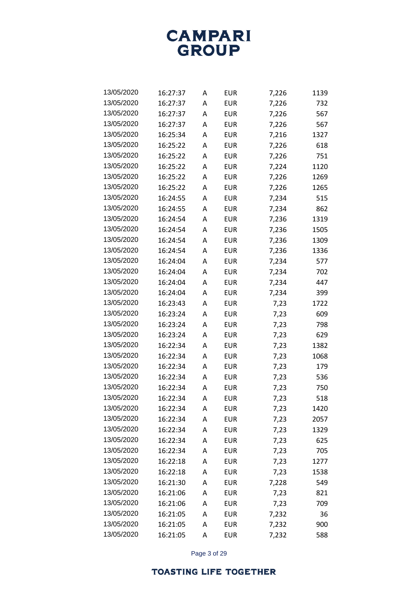**CAMPARI** GROUP

| 13/05/2020 | 16:27:37 | A | <b>EUR</b> | 7,226 | 1139 |
|------------|----------|---|------------|-------|------|
| 13/05/2020 | 16:27:37 | A | EUR        | 7,226 | 732  |
| 13/05/2020 | 16:27:37 | A | EUR        | 7,226 | 567  |
| 13/05/2020 | 16:27:37 | A | EUR        | 7,226 | 567  |
| 13/05/2020 | 16:25:34 | A | EUR        | 7,216 | 1327 |
| 13/05/2020 | 16:25:22 | A | <b>EUR</b> | 7,226 | 618  |
| 13/05/2020 | 16:25:22 | A | EUR        | 7,226 | 751  |
| 13/05/2020 | 16:25:22 | А | <b>EUR</b> | 7,224 | 1120 |
| 13/05/2020 | 16:25:22 | A | EUR        | 7,226 | 1269 |
| 13/05/2020 | 16:25:22 | А | EUR        | 7,226 | 1265 |
| 13/05/2020 | 16:24:55 | A | EUR        | 7,234 | 515  |
| 13/05/2020 | 16:24:55 | А | <b>EUR</b> | 7,234 | 862  |
| 13/05/2020 | 16:24:54 | A | EUR        | 7,236 | 1319 |
| 13/05/2020 | 16:24:54 | А | EUR        | 7,236 | 1505 |
| 13/05/2020 | 16:24:54 | A | EUR        | 7,236 | 1309 |
| 13/05/2020 | 16:24:54 | А | <b>EUR</b> | 7,236 | 1336 |
| 13/05/2020 | 16:24:04 | A | EUR        | 7,234 | 577  |
| 13/05/2020 | 16:24:04 | А | EUR        | 7,234 | 702  |
| 13/05/2020 | 16:24:04 | A | EUR        | 7,234 | 447  |
| 13/05/2020 | 16:24:04 | А | <b>EUR</b> | 7,234 | 399  |
| 13/05/2020 | 16:23:43 | A | EUR        | 7,23  | 1722 |
| 13/05/2020 | 16:23:24 | A | EUR        | 7,23  | 609  |
| 13/05/2020 | 16:23:24 | A | EUR        | 7,23  | 798  |
| 13/05/2020 | 16:23:24 | А | <b>EUR</b> | 7,23  | 629  |
| 13/05/2020 | 16:22:34 | A | EUR        | 7,23  | 1382 |
| 13/05/2020 | 16:22:34 | A | EUR        | 7,23  | 1068 |
| 13/05/2020 | 16:22:34 | A | EUR        | 7,23  | 179  |
| 13/05/2020 | 16:22:34 | A | <b>EUR</b> | 7,23  | 536  |
| 13/05/2020 | 16:22:34 | A | EUR        | 7,23  | 750  |
| 13/05/2020 | 16:22:34 | A | EUR        | 7,23  | 518  |
| 13/05/2020 | 16:22:34 | Α | <b>EUR</b> | 7,23  | 1420 |
| 13/05/2020 | 16:22:34 | Α | <b>EUR</b> | 7,23  | 2057 |
| 13/05/2020 | 16:22:34 | Α | <b>EUR</b> | 7,23  | 1329 |
| 13/05/2020 | 16:22:34 | Α | <b>EUR</b> | 7,23  | 625  |
| 13/05/2020 | 16:22:34 | Α | <b>EUR</b> | 7,23  | 705  |
| 13/05/2020 | 16:22:18 | Α | <b>EUR</b> | 7,23  | 1277 |
| 13/05/2020 | 16:22:18 | Α | <b>EUR</b> | 7,23  | 1538 |
| 13/05/2020 | 16:21:30 | Α | <b>EUR</b> | 7,228 | 549  |
| 13/05/2020 | 16:21:06 | Α | <b>EUR</b> | 7,23  | 821  |
| 13/05/2020 | 16:21:06 | Α | <b>EUR</b> | 7,23  | 709  |
| 13/05/2020 | 16:21:05 | Α | <b>EUR</b> | 7,232 | 36   |
| 13/05/2020 | 16:21:05 | Α | <b>EUR</b> | 7,232 | 900  |
| 13/05/2020 | 16:21:05 | Α | <b>EUR</b> | 7,232 | 588  |

Page 3 of 29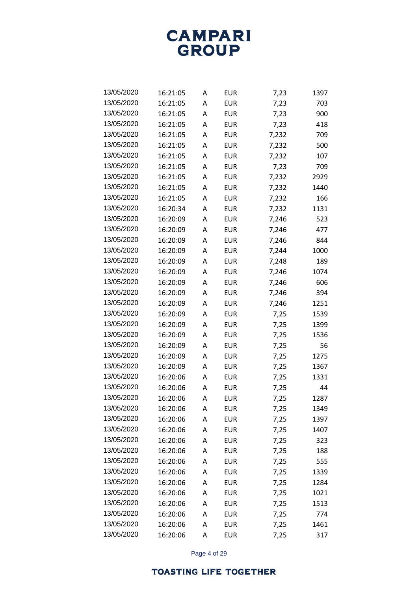**CAMPARI** GROUP

| 13/05/2020 | 16:21:05 | А | EUR        | 7,23  | 1397 |
|------------|----------|---|------------|-------|------|
| 13/05/2020 | 16:21:05 | A | <b>EUR</b> | 7,23  | 703  |
| 13/05/2020 | 16:21:05 | А | EUR        | 7,23  | 900  |
| 13/05/2020 | 16:21:05 | A | <b>EUR</b> | 7,23  | 418  |
| 13/05/2020 | 16:21:05 | Α | <b>EUR</b> | 7,232 | 709  |
| 13/05/2020 | 16:21:05 | A | <b>EUR</b> | 7,232 | 500  |
| 13/05/2020 | 16:21:05 | Α | <b>EUR</b> | 7,232 | 107  |
| 13/05/2020 | 16:21:05 | А | <b>EUR</b> | 7,23  | 709  |
| 13/05/2020 | 16:21:05 | Α | <b>EUR</b> | 7,232 | 2929 |
| 13/05/2020 | 16:21:05 | A | <b>EUR</b> | 7,232 | 1440 |
| 13/05/2020 | 16:21:05 | Α | EUR        | 7,232 | 166  |
| 13/05/2020 | 16:20:34 | A | <b>EUR</b> | 7,232 | 1131 |
| 13/05/2020 | 16:20:09 | Α | <b>EUR</b> | 7,246 | 523  |
| 13/05/2020 | 16:20:09 | A | <b>EUR</b> | 7,246 | 477  |
| 13/05/2020 | 16:20:09 | Α | EUR        | 7,246 | 844  |
| 13/05/2020 | 16:20:09 | A | <b>EUR</b> | 7,244 | 1000 |
| 13/05/2020 | 16:20:09 | Α | <b>EUR</b> | 7,248 | 189  |
| 13/05/2020 | 16:20:09 | A | <b>EUR</b> | 7,246 | 1074 |
| 13/05/2020 | 16:20:09 | Α | EUR        | 7,246 | 606  |
| 13/05/2020 | 16:20:09 | A | <b>EUR</b> | 7,246 | 394  |
| 13/05/2020 | 16:20:09 | Α | <b>EUR</b> | 7,246 | 1251 |
| 13/05/2020 | 16:20:09 | A | <b>EUR</b> | 7,25  | 1539 |
| 13/05/2020 | 16:20:09 | Α | <b>EUR</b> | 7,25  | 1399 |
| 13/05/2020 | 16:20:09 | A | <b>EUR</b> | 7,25  | 1536 |
| 13/05/2020 | 16:20:09 | Α | EUR        | 7,25  | 56   |
| 13/05/2020 | 16:20:09 | A | <b>EUR</b> | 7,25  | 1275 |
| 13/05/2020 | 16:20:09 | Α | <b>EUR</b> | 7,25  | 1367 |
| 13/05/2020 | 16:20:06 | A | <b>EUR</b> | 7,25  | 1331 |
| 13/05/2020 | 16:20:06 | Α | EUR        | 7,25  | 44   |
| 13/05/2020 | 16:20:06 | A | EUR        | 7,25  | 1287 |
| 13/05/2020 | 16:20:06 | Α | <b>EUR</b> | 7,25  | 1349 |
| 13/05/2020 | 16:20:06 | Α | <b>EUR</b> | 7,25  | 1397 |
| 13/05/2020 | 16:20:06 | Α | <b>EUR</b> | 7,25  | 1407 |
| 13/05/2020 | 16:20:06 | A | <b>EUR</b> | 7,25  | 323  |
| 13/05/2020 | 16:20:06 | Α | <b>EUR</b> | 7,25  | 188  |
| 13/05/2020 | 16:20:06 | A | <b>EUR</b> | 7,25  | 555  |
| 13/05/2020 | 16:20:06 | Α | <b>EUR</b> | 7,25  | 1339 |
| 13/05/2020 | 16:20:06 | A | <b>EUR</b> | 7,25  | 1284 |
| 13/05/2020 | 16:20:06 | Α | <b>EUR</b> | 7,25  | 1021 |
| 13/05/2020 | 16:20:06 | Α | <b>EUR</b> | 7,25  | 1513 |
| 13/05/2020 | 16:20:06 | Α | <b>EUR</b> | 7,25  | 774  |
| 13/05/2020 | 16:20:06 | Α | <b>EUR</b> | 7,25  | 1461 |
| 13/05/2020 | 16:20:06 | Α | <b>EUR</b> | 7,25  | 317  |

Page 4 of 29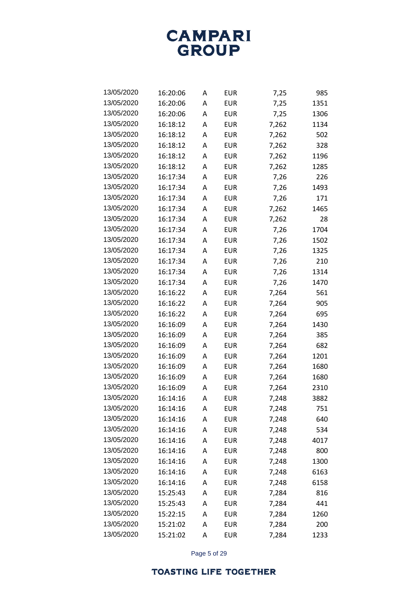

| 13/05/2020 | 16:20:06 | A | EUR        | 7,25  | 985  |
|------------|----------|---|------------|-------|------|
| 13/05/2020 | 16:20:06 | A | EUR        | 7,25  | 1351 |
| 13/05/2020 | 16:20:06 | A | EUR        | 7,25  | 1306 |
| 13/05/2020 | 16:18:12 | A | <b>EUR</b> | 7,262 | 1134 |
| 13/05/2020 | 16:18:12 | A | EUR        | 7,262 | 502  |
| 13/05/2020 | 16:18:12 | A | EUR        | 7,262 | 328  |
| 13/05/2020 | 16:18:12 | A | EUR        | 7,262 | 1196 |
| 13/05/2020 | 16:18:12 | A | EUR        | 7,262 | 1285 |
| 13/05/2020 | 16:17:34 | A | <b>EUR</b> | 7,26  | 226  |
| 13/05/2020 | 16:17:34 | A | <b>EUR</b> | 7,26  | 1493 |
| 13/05/2020 | 16:17:34 | A | EUR        | 7,26  | 171  |
| 13/05/2020 | 16:17:34 | A | EUR        | 7,262 | 1465 |
| 13/05/2020 | 16:17:34 | A | EUR        | 7,262 | 28   |
| 13/05/2020 | 16:17:34 | A | EUR        | 7,26  | 1704 |
| 13/05/2020 | 16:17:34 | A | <b>EUR</b> | 7,26  | 1502 |
| 13/05/2020 | 16:17:34 | A | EUR        | 7,26  | 1325 |
| 13/05/2020 | 16:17:34 | A | <b>EUR</b> | 7,26  | 210  |
| 13/05/2020 | 16:17:34 | A | EUR        | 7,26  | 1314 |
| 13/05/2020 | 16:17:34 | A | <b>EUR</b> | 7,26  | 1470 |
| 13/05/2020 | 16:16:22 | A | EUR        | 7,264 | 561  |
| 13/05/2020 | 16:16:22 | A | EUR        | 7,264 | 905  |
| 13/05/2020 | 16:16:22 | A | EUR        | 7,264 | 695  |
| 13/05/2020 | 16:16:09 | A | EUR        | 7,264 | 1430 |
| 13/05/2020 | 16:16:09 | A | EUR        | 7,264 | 385  |
| 13/05/2020 | 16:16:09 | A | EUR        | 7,264 | 682  |
| 13/05/2020 | 16:16:09 | A | <b>EUR</b> | 7,264 | 1201 |
| 13/05/2020 | 16:16:09 | A | <b>EUR</b> | 7,264 | 1680 |
| 13/05/2020 | 16:16:09 | A | <b>EUR</b> | 7,264 | 1680 |
| 13/05/2020 | 16:16:09 | A | <b>EUR</b> | 7,264 | 2310 |
| 13/05/2020 | 16:14:16 | А | <b>EUR</b> | 7,248 | 3882 |
| 13/05/2020 | 16:14:16 | A | <b>EUR</b> | 7,248 | 751  |
| 13/05/2020 | 16:14:16 | A | <b>EUR</b> | 7,248 | 640  |
| 13/05/2020 | 16:14:16 | A | EUR        | 7,248 | 534  |
| 13/05/2020 | 16:14:16 | A | <b>EUR</b> | 7,248 | 4017 |
| 13/05/2020 | 16:14:16 | Α | EUR        | 7,248 | 800  |
| 13/05/2020 | 16:14:16 | A | <b>EUR</b> | 7,248 | 1300 |
| 13/05/2020 | 16:14:16 | A | <b>EUR</b> | 7,248 | 6163 |
| 13/05/2020 | 16:14:16 | A | <b>EUR</b> | 7,248 | 6158 |
| 13/05/2020 | 15:25:43 | A | EUR        | 7,284 | 816  |
| 13/05/2020 | 15:25:43 | A | <b>EUR</b> | 7,284 | 441  |
| 13/05/2020 | 15:22:15 | A | <b>EUR</b> | 7,284 | 1260 |
| 13/05/2020 | 15:21:02 | A | <b>EUR</b> | 7,284 | 200  |
| 13/05/2020 | 15:21:02 | А | <b>EUR</b> | 7,284 | 1233 |

Page 5 of 29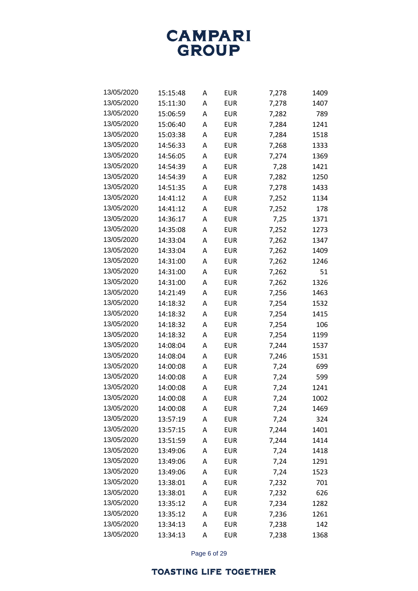

| 13/05/2020 | 15:15:48 | A | EUR        | 7,278 | 1409 |
|------------|----------|---|------------|-------|------|
| 13/05/2020 | 15:11:30 | A | EUR        | 7,278 | 1407 |
| 13/05/2020 | 15:06:59 | A | EUR        | 7,282 | 789  |
| 13/05/2020 | 15:06:40 | A | EUR        | 7,284 | 1241 |
| 13/05/2020 | 15:03:38 | A | EUR        | 7,284 | 1518 |
| 13/05/2020 | 14:56:33 | А | EUR        | 7,268 | 1333 |
| 13/05/2020 | 14:56:05 | A | EUR        | 7,274 | 1369 |
| 13/05/2020 | 14:54:39 | A | EUR        | 7,28  | 1421 |
| 13/05/2020 | 14:54:39 | A | EUR        | 7,282 | 1250 |
| 13/05/2020 | 14:51:35 | A | EUR        | 7,278 | 1433 |
| 13/05/2020 | 14:41:12 | A | EUR        | 7,252 | 1134 |
| 13/05/2020 | 14:41:12 | А | EUR        | 7,252 | 178  |
| 13/05/2020 | 14:36:17 | A | EUR        | 7,25  | 1371 |
| 13/05/2020 | 14:35:08 | A | EUR        | 7,252 | 1273 |
| 13/05/2020 | 14:33:04 | A | EUR        | 7,262 | 1347 |
| 13/05/2020 | 14:33:04 | A | EUR        | 7,262 | 1409 |
| 13/05/2020 | 14:31:00 | A | <b>EUR</b> | 7,262 | 1246 |
| 13/05/2020 | 14:31:00 | A | EUR        | 7,262 | 51   |
| 13/05/2020 | 14:31:00 | A | EUR        | 7,262 | 1326 |
| 13/05/2020 | 14:21:49 | A | EUR        | 7,256 | 1463 |
| 13/05/2020 | 14:18:32 | A | EUR        | 7,254 | 1532 |
| 13/05/2020 | 14:18:32 | A | EUR        | 7,254 | 1415 |
| 13/05/2020 | 14:18:32 | A | EUR        | 7,254 | 106  |
| 13/05/2020 | 14:18:32 | A | EUR        | 7,254 | 1199 |
| 13/05/2020 | 14:08:04 | A | EUR        | 7,244 | 1537 |
| 13/05/2020 | 14:08:04 | A | EUR        | 7,246 | 1531 |
| 13/05/2020 | 14:00:08 | A | EUR        | 7,24  | 699  |
| 13/05/2020 | 14:00:08 | A | EUR        | 7,24  | 599  |
| 13/05/2020 | 14:00:08 | A | <b>EUR</b> | 7,24  | 1241 |
| 13/05/2020 | 14:00:08 | А | EUR        | 7,24  | 1002 |
| 13/05/2020 | 14:00:08 | A | <b>EUR</b> | 7,24  | 1469 |
| 13/05/2020 | 13:57:19 | Α | <b>EUR</b> | 7,24  | 324  |
| 13/05/2020 | 13:57:15 | A | <b>EUR</b> | 7,244 | 1401 |
| 13/05/2020 | 13:51:59 | A | <b>EUR</b> | 7,244 | 1414 |
| 13/05/2020 | 13:49:06 | Α | <b>EUR</b> | 7,24  | 1418 |
| 13/05/2020 | 13:49:06 | A | <b>EUR</b> | 7,24  | 1291 |
| 13/05/2020 | 13:49:06 | A | <b>EUR</b> | 7,24  | 1523 |
| 13/05/2020 | 13:38:01 | A | <b>EUR</b> | 7,232 | 701  |
| 13/05/2020 | 13:38:01 | A | <b>EUR</b> | 7,232 | 626  |
| 13/05/2020 | 13:35:12 | Α | <b>EUR</b> | 7,234 | 1282 |
| 13/05/2020 | 13:35:12 | A | <b>EUR</b> | 7,236 | 1261 |
| 13/05/2020 | 13:34:13 | A | <b>EUR</b> | 7,238 | 142  |
| 13/05/2020 | 13:34:13 | А | <b>EUR</b> | 7,238 | 1368 |

Page 6 of 29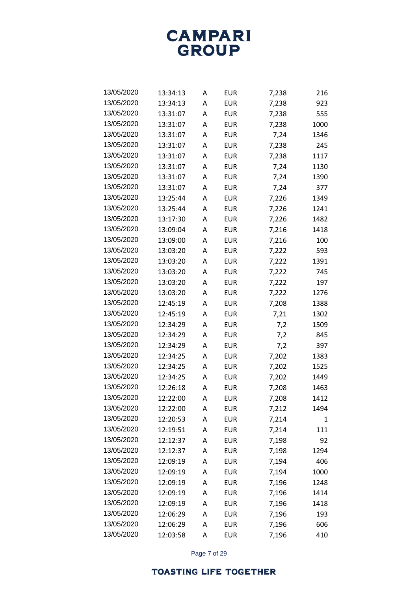**CAMPARI** GROUP

| 13/05/2020 | 13:34:13 | A | EUR        | 7,238 | 216  |
|------------|----------|---|------------|-------|------|
| 13/05/2020 | 13:34:13 | А | EUR        | 7,238 | 923  |
| 13/05/2020 | 13:31:07 | A | <b>EUR</b> | 7,238 | 555  |
| 13/05/2020 | 13:31:07 | A | EUR        | 7,238 | 1000 |
| 13/05/2020 | 13:31:07 | A | EUR        | 7,24  | 1346 |
| 13/05/2020 | 13:31:07 | A | EUR        | 7,238 | 245  |
| 13/05/2020 | 13:31:07 | A | EUR        | 7,238 | 1117 |
| 13/05/2020 | 13:31:07 | A | EUR        | 7,24  | 1130 |
| 13/05/2020 | 13:31:07 | A | EUR        | 7,24  | 1390 |
| 13/05/2020 | 13:31:07 | A | EUR        | 7,24  | 377  |
| 13/05/2020 | 13:25:44 | A | EUR        | 7,226 | 1349 |
| 13/05/2020 | 13:25:44 | A | EUR        | 7,226 | 1241 |
| 13/05/2020 | 13:17:30 | A | EUR        | 7,226 | 1482 |
| 13/05/2020 | 13:09:04 | A | EUR        | 7,216 | 1418 |
| 13/05/2020 | 13:09:00 | A | EUR        | 7,216 | 100  |
| 13/05/2020 | 13:03:20 | A | EUR        | 7,222 | 593  |
| 13/05/2020 | 13:03:20 | A | EUR        | 7,222 | 1391 |
| 13/05/2020 | 13:03:20 | A | EUR        | 7,222 | 745  |
| 13/05/2020 | 13:03:20 | A | EUR        | 7,222 | 197  |
| 13/05/2020 | 13:03:20 | A | EUR        | 7,222 | 1276 |
| 13/05/2020 | 12:45:19 | A | EUR        | 7,208 | 1388 |
| 13/05/2020 | 12:45:19 | A | EUR        | 7,21  | 1302 |
| 13/05/2020 | 12:34:29 | A | EUR        | 7,2   | 1509 |
| 13/05/2020 | 12:34:29 | A | EUR        | 7,2   | 845  |
| 13/05/2020 | 12:34:29 | A | EUR        | 7,2   | 397  |
| 13/05/2020 | 12:34:25 | A | EUR        | 7,202 | 1383 |
| 13/05/2020 | 12:34:25 | A | EUR        | 7,202 | 1525 |
| 13/05/2020 | 12:34:25 | A | EUR        | 7,202 | 1449 |
| 13/05/2020 | 12:26:18 | A | <b>EUR</b> | 7,208 | 1463 |
| 13/05/2020 | 12:22:00 | A | EUR        | 7,208 | 1412 |
| 13/05/2020 | 12:22:00 | Α | <b>EUR</b> | 7,212 | 1494 |
| 13/05/2020 | 12:20:53 | Α | <b>EUR</b> | 7,214 | 1    |
| 13/05/2020 | 12:19:51 | Α | <b>EUR</b> | 7,214 | 111  |
| 13/05/2020 | 12:12:37 | Α | <b>EUR</b> | 7,198 | 92   |
| 13/05/2020 | 12:12:37 | Α | <b>EUR</b> | 7,198 | 1294 |
| 13/05/2020 | 12:09:19 | Α | <b>EUR</b> | 7,194 | 406  |
| 13/05/2020 | 12:09:19 | Α | <b>EUR</b> | 7,194 | 1000 |
| 13/05/2020 | 12:09:19 | Α | <b>EUR</b> | 7,196 | 1248 |
| 13/05/2020 | 12:09:19 | Α | <b>EUR</b> | 7,196 | 1414 |
| 13/05/2020 | 12:09:19 | Α | <b>EUR</b> | 7,196 | 1418 |
| 13/05/2020 | 12:06:29 | Α | <b>EUR</b> | 7,196 | 193  |
| 13/05/2020 | 12:06:29 | A | <b>EUR</b> | 7,196 | 606  |
| 13/05/2020 | 12:03:58 | А | <b>EUR</b> | 7,196 | 410  |

Page 7 of 29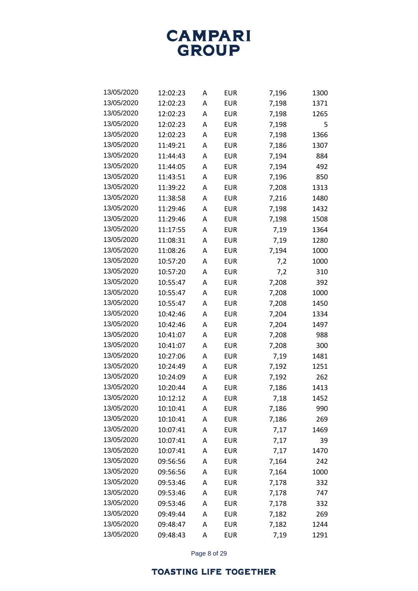

| 13/05/2020 | 12:02:23 | A | EUR        | 7,196 | 1300 |
|------------|----------|---|------------|-------|------|
| 13/05/2020 | 12:02:23 | A | EUR        | 7,198 | 1371 |
| 13/05/2020 | 12:02:23 | A | EUR        | 7,198 | 1265 |
| 13/05/2020 | 12:02:23 | A | EUR        | 7,198 | 5    |
| 13/05/2020 | 12:02:23 | A | EUR        | 7,198 | 1366 |
| 13/05/2020 | 11:49:21 | A | EUR        | 7,186 | 1307 |
| 13/05/2020 | 11:44:43 | A | EUR        | 7,194 | 884  |
| 13/05/2020 | 11:44:05 | A | <b>EUR</b> | 7,194 | 492  |
| 13/05/2020 | 11:43:51 | A | EUR        | 7,196 | 850  |
| 13/05/2020 | 11:39:22 | A | EUR        | 7,208 | 1313 |
| 13/05/2020 | 11:38:58 | A | EUR        | 7,216 | 1480 |
| 13/05/2020 | 11:29:46 | A | EUR        | 7,198 | 1432 |
| 13/05/2020 | 11:29:46 | A | EUR        | 7,198 | 1508 |
| 13/05/2020 | 11:17:55 | A | EUR        | 7,19  | 1364 |
| 13/05/2020 | 11:08:31 | A | EUR        | 7,19  | 1280 |
| 13/05/2020 | 11:08:26 | A | EUR        | 7,194 | 1000 |
| 13/05/2020 | 10:57:20 | A | EUR        | 7,2   | 1000 |
| 13/05/2020 | 10:57:20 | A | <b>EUR</b> | 7,2   | 310  |
| 13/05/2020 | 10:55:47 | A | EUR        | 7,208 | 392  |
| 13/05/2020 | 10:55:47 | A | EUR        | 7,208 | 1000 |
| 13/05/2020 | 10:55:47 | A | EUR        | 7,208 | 1450 |
| 13/05/2020 | 10:42:46 | A | EUR        | 7,204 | 1334 |
| 13/05/2020 | 10:42:46 | A | EUR        | 7,204 | 1497 |
| 13/05/2020 | 10:41:07 | A | EUR        | 7,208 | 988  |
| 13/05/2020 | 10:41:07 | A | EUR        | 7,208 | 300  |
| 13/05/2020 | 10:27:06 | A | EUR        | 7,19  | 1481 |
| 13/05/2020 | 10:24:49 | A | EUR        | 7,192 | 1251 |
| 13/05/2020 | 10:24:09 | A | EUR        | 7,192 | 262  |
| 13/05/2020 | 10:20:44 | A | EUR        | 7,186 | 1413 |
| 13/05/2020 | 10:12:12 | Α | EUR        | 7,18  | 1452 |
| 13/05/2020 | 10:10:41 | Α | <b>EUR</b> | 7,186 | 990  |
| 13/05/2020 | 10:10:41 | Α | <b>EUR</b> | 7,186 | 269  |
| 13/05/2020 | 10:07:41 | A | <b>EUR</b> | 7,17  | 1469 |
| 13/05/2020 | 10:07:41 | Α | <b>EUR</b> | 7,17  | 39   |
| 13/05/2020 | 10:07:41 | Α | <b>EUR</b> | 7,17  | 1470 |
| 13/05/2020 | 09:56:56 | Α | <b>EUR</b> | 7,164 | 242  |
| 13/05/2020 | 09:56:56 | A | <b>EUR</b> | 7,164 | 1000 |
| 13/05/2020 | 09:53:46 | Α | <b>EUR</b> | 7,178 | 332  |
| 13/05/2020 | 09:53:46 | Α | <b>EUR</b> | 7,178 | 747  |
| 13/05/2020 | 09:53:46 | Α | <b>EUR</b> | 7,178 | 332  |
| 13/05/2020 | 09:49:44 | Α | <b>EUR</b> | 7,182 | 269  |
| 13/05/2020 | 09:48:47 | Α | <b>EUR</b> | 7,182 | 1244 |
| 13/05/2020 | 09:48:43 | А | <b>EUR</b> | 7,19  | 1291 |

Page 8 of 29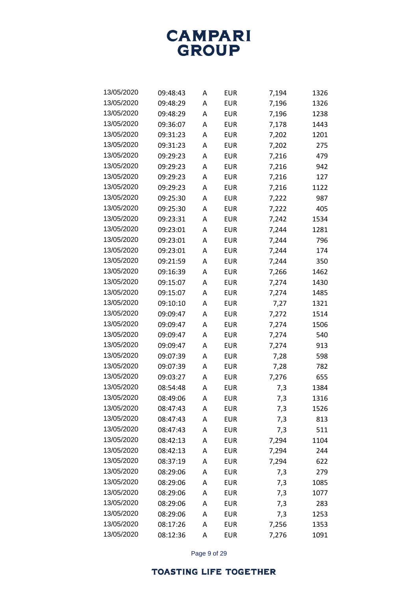

| 13/05/2020 | 09:48:43 | A | EUR        | 7,194 | 1326 |
|------------|----------|---|------------|-------|------|
| 13/05/2020 | 09:48:29 | A | EUR        | 7,196 | 1326 |
| 13/05/2020 | 09:48:29 | A | EUR        | 7,196 | 1238 |
| 13/05/2020 | 09:36:07 | A | EUR        | 7,178 | 1443 |
| 13/05/2020 | 09:31:23 | A | EUR        | 7,202 | 1201 |
| 13/05/2020 | 09:31:23 | A | EUR        | 7,202 | 275  |
| 13/05/2020 | 09:29:23 | A | EUR        | 7,216 | 479  |
| 13/05/2020 | 09:29:23 | A | EUR        | 7,216 | 942  |
| 13/05/2020 | 09:29:23 | A | EUR        | 7,216 | 127  |
| 13/05/2020 | 09:29:23 | A | EUR        | 7,216 | 1122 |
| 13/05/2020 | 09:25:30 | A | EUR        | 7,222 | 987  |
| 13/05/2020 | 09:25:30 | A | EUR        | 7,222 | 405  |
| 13/05/2020 | 09:23:31 | A | EUR        | 7,242 | 1534 |
| 13/05/2020 | 09:23:01 | A | EUR        | 7,244 | 1281 |
| 13/05/2020 | 09:23:01 | A | EUR        | 7,244 | 796  |
| 13/05/2020 | 09:23:01 | A | <b>EUR</b> | 7,244 | 174  |
| 13/05/2020 | 09:21:59 | A | EUR        | 7,244 | 350  |
| 13/05/2020 | 09:16:39 | A | EUR        | 7,266 | 1462 |
| 13/05/2020 | 09:15:07 | A | EUR        | 7,274 | 1430 |
| 13/05/2020 | 09:15:07 | A | EUR        | 7,274 | 1485 |
| 13/05/2020 | 09:10:10 | A | EUR        | 7,27  | 1321 |
| 13/05/2020 | 09:09:47 | A | EUR        | 7,272 | 1514 |
| 13/05/2020 | 09:09:47 | A | EUR        | 7,274 | 1506 |
| 13/05/2020 | 09:09:47 | A | EUR        | 7,274 | 540  |
| 13/05/2020 | 09:09:47 | A | EUR        | 7,274 | 913  |
| 13/05/2020 | 09:07:39 | A | EUR        | 7,28  | 598  |
| 13/05/2020 | 09:07:39 | A | EUR        | 7,28  | 782  |
| 13/05/2020 | 09:03:27 | A | EUR        | 7,276 | 655  |
| 13/05/2020 | 08:54:48 | A | EUR        | 7,3   | 1384 |
| 13/05/2020 | 08:49:06 | А | EUR        | 7,3   | 1316 |
| 13/05/2020 | 08:47:43 | A | <b>EUR</b> | 7,3   | 1526 |
| 13/05/2020 | 08:47:43 | Α | <b>EUR</b> | 7,3   | 813  |
| 13/05/2020 | 08:47:43 | A | <b>EUR</b> | 7,3   | 511  |
| 13/05/2020 | 08:42:13 | A | <b>EUR</b> | 7,294 | 1104 |
| 13/05/2020 | 08:42:13 | A | <b>EUR</b> | 7,294 | 244  |
| 13/05/2020 | 08:37:19 | Α | <b>EUR</b> | 7,294 | 622  |
| 13/05/2020 | 08:29:06 | A | <b>EUR</b> | 7,3   | 279  |
| 13/05/2020 | 08:29:06 | Α | <b>EUR</b> | 7,3   | 1085 |
| 13/05/2020 | 08:29:06 | A | <b>EUR</b> | 7,3   | 1077 |
| 13/05/2020 | 08:29:06 | Α | <b>EUR</b> | 7,3   | 283  |
| 13/05/2020 | 08:29:06 | A | <b>EUR</b> | 7,3   | 1253 |
| 13/05/2020 | 08:17:26 | Α | <b>EUR</b> | 7,256 | 1353 |
| 13/05/2020 | 08:12:36 | А | <b>EUR</b> | 7,276 | 1091 |

Page 9 of 29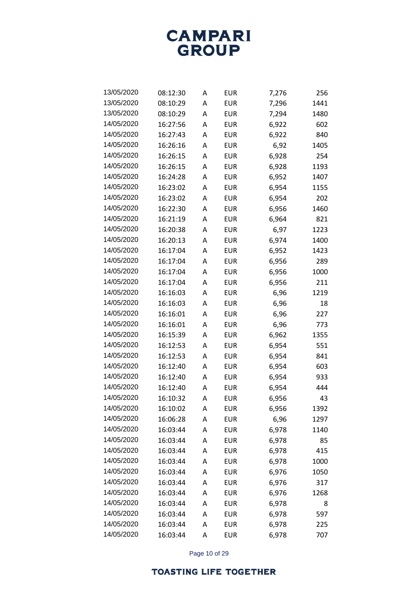

| 13/05/2020 | 08:12:30 | A | <b>EUR</b> | 7,276 | 256  |
|------------|----------|---|------------|-------|------|
| 13/05/2020 | 08:10:29 | A | EUR        | 7,296 | 1441 |
| 13/05/2020 | 08:10:29 | A | <b>EUR</b> | 7,294 | 1480 |
| 14/05/2020 | 16:27:56 | A | EUR        | 6,922 | 602  |
| 14/05/2020 | 16:27:43 | A | EUR        | 6,922 | 840  |
| 14/05/2020 | 16:26:16 | A | EUR        | 6,92  | 1405 |
| 14/05/2020 | 16:26:15 | A | <b>EUR</b> | 6,928 | 254  |
| 14/05/2020 | 16:26:15 | A | <b>EUR</b> | 6,928 | 1193 |
| 14/05/2020 | 16:24:28 | A | <b>EUR</b> | 6,952 | 1407 |
| 14/05/2020 | 16:23:02 | A | <b>EUR</b> | 6,954 | 1155 |
| 14/05/2020 | 16:23:02 | A | EUR        | 6,954 | 202  |
| 14/05/2020 | 16:22:30 | A | EUR        | 6,956 | 1460 |
| 14/05/2020 | 16:21:19 | A | EUR        | 6,964 | 821  |
| 14/05/2020 | 16:20:38 | A | <b>EUR</b> | 6,97  | 1223 |
| 14/05/2020 | 16:20:13 | A | EUR        | 6,974 | 1400 |
| 14/05/2020 | 16:17:04 | A | <b>EUR</b> | 6,952 | 1423 |
| 14/05/2020 | 16:17:04 | A | EUR        | 6,956 | 289  |
| 14/05/2020 | 16:17:04 | A | <b>EUR</b> | 6,956 | 1000 |
| 14/05/2020 | 16:17:04 | A | EUR        | 6,956 | 211  |
| 14/05/2020 | 16:16:03 | A | EUR        | 6,96  | 1219 |
| 14/05/2020 | 16:16:03 | A | EUR        | 6,96  | 18   |
| 14/05/2020 | 16:16:01 | A | EUR        | 6,96  | 227  |
| 14/05/2020 | 16:16:01 | A | EUR        | 6,96  | 773  |
| 14/05/2020 | 16:15:39 | A | EUR        | 6,962 | 1355 |
| 14/05/2020 | 16:12:53 | A | EUR        | 6,954 | 551  |
| 14/05/2020 | 16:12:53 | A | EUR        | 6,954 | 841  |
| 14/05/2020 | 16:12:40 | A | <b>EUR</b> | 6,954 | 603  |
| 14/05/2020 | 16:12:40 | A | EUR        | 6,954 | 933  |
| 14/05/2020 | 16:12:40 | A | <b>EUR</b> | 6,954 | 444  |
| 14/05/2020 | 16:10:32 | A | EUR        | 6,956 | 43   |
| 14/05/2020 | 16:10:02 | Α | <b>EUR</b> | 6,956 | 1392 |
| 14/05/2020 | 16:06:28 | Α | <b>EUR</b> | 6,96  | 1297 |
| 14/05/2020 | 16:03:44 | A | <b>EUR</b> | 6,978 | 1140 |
| 14/05/2020 | 16:03:44 | Α | <b>EUR</b> | 6,978 | 85   |
| 14/05/2020 | 16:03:44 | A | <b>EUR</b> | 6,978 | 415  |
| 14/05/2020 | 16:03:44 | Α | <b>EUR</b> | 6,978 | 1000 |
| 14/05/2020 | 16:03:44 | A | <b>EUR</b> | 6,976 | 1050 |
| 14/05/2020 | 16:03:44 | Α | <b>EUR</b> | 6,976 | 317  |
| 14/05/2020 | 16:03:44 | A | <b>EUR</b> | 6,976 | 1268 |
| 14/05/2020 | 16:03:44 | Α | <b>EUR</b> | 6,978 | 8    |
| 14/05/2020 | 16:03:44 | A | <b>EUR</b> | 6,978 | 597  |
| 14/05/2020 | 16:03:44 | Α | <b>EUR</b> | 6,978 | 225  |
| 14/05/2020 | 16:03:44 | Α | <b>EUR</b> | 6,978 | 707  |

Page 10 of 29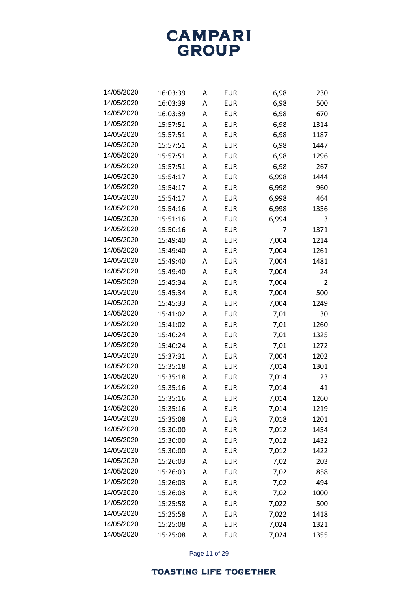

| 14/05/2020 | 16:03:39 | A | EUR        | 6,98  | 230  |
|------------|----------|---|------------|-------|------|
| 14/05/2020 | 16:03:39 | А | EUR        | 6,98  | 500  |
| 14/05/2020 | 16:03:39 | A | EUR        | 6,98  | 670  |
| 14/05/2020 | 15:57:51 | А | EUR        | 6,98  | 1314 |
| 14/05/2020 | 15:57:51 | A | EUR        | 6,98  | 1187 |
| 14/05/2020 | 15:57:51 | A | EUR        | 6,98  | 1447 |
| 14/05/2020 | 15:57:51 | A | <b>EUR</b> | 6,98  | 1296 |
| 14/05/2020 | 15:57:51 | A | <b>EUR</b> | 6,98  | 267  |
| 14/05/2020 | 15:54:17 | A | EUR        | 6,998 | 1444 |
| 14/05/2020 | 15:54:17 | A | EUR        | 6,998 | 960  |
| 14/05/2020 | 15:54:17 | A | EUR        | 6,998 | 464  |
| 14/05/2020 | 15:54:16 | A | EUR        | 6,998 | 1356 |
| 14/05/2020 | 15:51:16 | A | EUR        | 6,994 | 3    |
| 14/05/2020 | 15:50:16 | A | EUR        | 7     | 1371 |
| 14/05/2020 | 15:49:40 | A | <b>EUR</b> | 7,004 | 1214 |
| 14/05/2020 | 15:49:40 | A | EUR        | 7,004 | 1261 |
| 14/05/2020 | 15:49:40 | A | EUR        | 7,004 | 1481 |
| 14/05/2020 | 15:49:40 | A | EUR        | 7,004 | 24   |
| 14/05/2020 | 15:45:34 | A | <b>EUR</b> | 7,004 | 2    |
| 14/05/2020 | 15:45:34 | A | EUR        | 7,004 | 500  |
| 14/05/2020 | 15:45:33 | A | EUR        | 7,004 | 1249 |
| 14/05/2020 | 15:41:02 | A | EUR        | 7,01  | 30   |
| 14/05/2020 | 15:41:02 | A | EUR        | 7,01  | 1260 |
| 14/05/2020 | 15:40:24 | A | EUR        | 7,01  | 1325 |
| 14/05/2020 | 15:40:24 | A | EUR        | 7,01  | 1272 |
| 14/05/2020 | 15:37:31 | A | EUR        | 7,004 | 1202 |
| 14/05/2020 | 15:35:18 | A | EUR        | 7,014 | 1301 |
| 14/05/2020 | 15:35:18 | A | EUR        | 7,014 | 23   |
| 14/05/2020 | 15:35:16 | A | <b>EUR</b> | 7,014 | 41   |
| 14/05/2020 | 15:35:16 | A | EUR        | 7,014 | 1260 |
| 14/05/2020 | 15:35:16 | Α | <b>EUR</b> | 7,014 | 1219 |
| 14/05/2020 | 15:35:08 | А | <b>EUR</b> | 7,018 | 1201 |
| 14/05/2020 | 15:30:00 | Α | <b>EUR</b> | 7,012 | 1454 |
| 14/05/2020 | 15:30:00 | А | <b>EUR</b> | 7,012 | 1432 |
| 14/05/2020 | 15:30:00 | Α | <b>EUR</b> | 7,012 | 1422 |
| 14/05/2020 | 15:26:03 | A | <b>EUR</b> | 7,02  | 203  |
| 14/05/2020 | 15:26:03 | Α | <b>EUR</b> | 7,02  | 858  |
| 14/05/2020 | 15:26:03 | А | <b>EUR</b> | 7,02  | 494  |
| 14/05/2020 | 15:26:03 | Α | <b>EUR</b> | 7,02  | 1000 |
| 14/05/2020 | 15:25:58 | Α | <b>EUR</b> | 7,022 | 500  |
| 14/05/2020 | 15:25:58 | Α | <b>EUR</b> | 7,022 | 1418 |
| 14/05/2020 | 15:25:08 | А | <b>EUR</b> | 7,024 | 1321 |
| 14/05/2020 | 15:25:08 | А | <b>EUR</b> | 7,024 | 1355 |

Page 11 of 29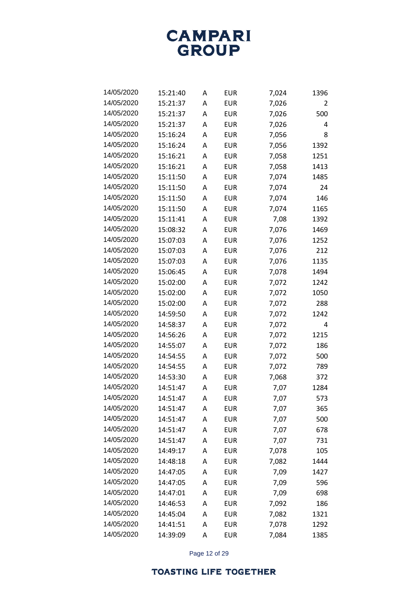

| 14/05/2020 | 15:21:40 | A | EUR        | 7,024 | 1396 |
|------------|----------|---|------------|-------|------|
| 14/05/2020 | 15:21:37 | A | <b>EUR</b> | 7,026 | 2    |
| 14/05/2020 | 15:21:37 | A | <b>EUR</b> | 7,026 | 500  |
| 14/05/2020 | 15:21:37 | A | EUR        | 7,026 | 4    |
| 14/05/2020 | 15:16:24 | A | <b>EUR</b> | 7,056 | 8    |
| 14/05/2020 | 15:16:24 | A | <b>EUR</b> | 7,056 | 1392 |
| 14/05/2020 | 15:16:21 | A | <b>EUR</b> | 7,058 | 1251 |
| 14/05/2020 | 15:16:21 | A | <b>EUR</b> | 7,058 | 1413 |
| 14/05/2020 | 15:11:50 | Α | <b>EUR</b> | 7,074 | 1485 |
| 14/05/2020 | 15:11:50 | A | <b>EUR</b> | 7,074 | 24   |
| 14/05/2020 | 15:11:50 | A | <b>EUR</b> | 7,074 | 146  |
| 14/05/2020 | 15:11:50 | A | <b>EUR</b> | 7,074 | 1165 |
| 14/05/2020 | 15:11:41 | A | <b>EUR</b> | 7,08  | 1392 |
| 14/05/2020 | 15:08:32 | A | <b>EUR</b> | 7,076 | 1469 |
| 14/05/2020 | 15:07:03 | A | <b>EUR</b> | 7,076 | 1252 |
| 14/05/2020 | 15:07:03 | A | <b>EUR</b> | 7,076 | 212  |
| 14/05/2020 | 15:07:03 | A | <b>EUR</b> | 7,076 | 1135 |
| 14/05/2020 | 15:06:45 | A | <b>EUR</b> | 7,078 | 1494 |
| 14/05/2020 | 15:02:00 | A | <b>EUR</b> | 7,072 | 1242 |
| 14/05/2020 | 15:02:00 | A | <b>EUR</b> | 7,072 | 1050 |
| 14/05/2020 | 15:02:00 | A | <b>EUR</b> | 7,072 | 288  |
| 14/05/2020 | 14:59:50 | A | <b>EUR</b> | 7,072 | 1242 |
| 14/05/2020 | 14:58:37 | A | <b>EUR</b> | 7,072 | 4    |
| 14/05/2020 | 14:56:26 | A | <b>EUR</b> | 7,072 | 1215 |
| 14/05/2020 | 14:55:07 | A | <b>EUR</b> | 7,072 | 186  |
| 14/05/2020 | 14:54:55 | A | <b>EUR</b> | 7,072 | 500  |
| 14/05/2020 | 14:54:55 | A | <b>EUR</b> | 7,072 | 789  |
| 14/05/2020 | 14:53:30 | A | <b>EUR</b> | 7,068 | 372  |
| 14/05/2020 | 14:51:47 | A | <b>EUR</b> | 7,07  | 1284 |
| 14/05/2020 | 14:51:47 | A | <b>EUR</b> | 7,07  | 573  |
| 14/05/2020 | 14:51:47 | A | <b>EUR</b> | 7,07  | 365  |
| 14/05/2020 | 14:51:47 | A | <b>EUR</b> | 7,07  | 500  |
| 14/05/2020 | 14:51:47 | Α | <b>EUR</b> | 7,07  | 678  |
| 14/05/2020 | 14:51:47 | A | <b>EUR</b> | 7,07  | 731  |
| 14/05/2020 | 14:49:17 | Α | <b>EUR</b> | 7,078 | 105  |
| 14/05/2020 | 14:48:18 | A | <b>EUR</b> | 7,082 | 1444 |
| 14/05/2020 | 14:47:05 | Α | <b>EUR</b> | 7,09  | 1427 |
| 14/05/2020 | 14:47:05 | A | <b>EUR</b> | 7,09  | 596  |
| 14/05/2020 | 14:47:01 | A | <b>EUR</b> | 7,09  | 698  |
| 14/05/2020 | 14:46:53 | A | <b>EUR</b> | 7,092 | 186  |
| 14/05/2020 | 14:45:04 | A | <b>EUR</b> | 7,082 | 1321 |
| 14/05/2020 | 14:41:51 | A | <b>EUR</b> | 7,078 | 1292 |
| 14/05/2020 | 14:39:09 | Α | <b>EUR</b> | 7,084 | 1385 |

Page 12 of 29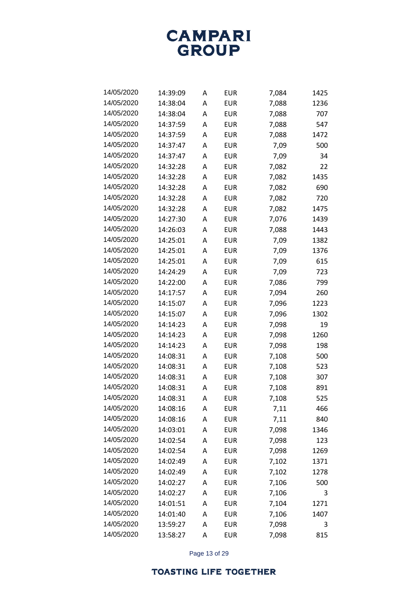

| 14/05/2020 | 14:39:09 | A | EUR        | 7,084 | 1425 |
|------------|----------|---|------------|-------|------|
| 14/05/2020 | 14:38:04 | A | EUR        | 7,088 | 1236 |
| 14/05/2020 | 14:38:04 | A | EUR        | 7,088 | 707  |
| 14/05/2020 | 14:37:59 | A | EUR        | 7,088 | 547  |
| 14/05/2020 | 14:37:59 | A | EUR        | 7,088 | 1472 |
| 14/05/2020 | 14:37:47 | A | EUR        | 7,09  | 500  |
| 14/05/2020 | 14:37:47 | A | EUR        | 7,09  | 34   |
| 14/05/2020 | 14:32:28 | A | EUR        | 7,082 | 22   |
| 14/05/2020 | 14:32:28 | A | EUR        | 7,082 | 1435 |
| 14/05/2020 | 14:32:28 | A | EUR        | 7,082 | 690  |
| 14/05/2020 | 14:32:28 | A | EUR        | 7,082 | 720  |
| 14/05/2020 | 14:32:28 | A | EUR        | 7,082 | 1475 |
| 14/05/2020 | 14:27:30 | A | EUR        | 7,076 | 1439 |
| 14/05/2020 | 14:26:03 | A | EUR        | 7,088 | 1443 |
| 14/05/2020 | 14:25:01 | A | EUR        | 7,09  | 1382 |
| 14/05/2020 | 14:25:01 | A | EUR        | 7,09  | 1376 |
| 14/05/2020 | 14:25:01 | A | EUR        | 7,09  | 615  |
| 14/05/2020 | 14:24:29 | A | EUR        | 7,09  | 723  |
| 14/05/2020 | 14:22:00 | A | EUR        | 7,086 | 799  |
| 14/05/2020 | 14:17:57 | A | EUR        | 7,094 | 260  |
| 14/05/2020 | 14:15:07 | A | EUR        | 7,096 | 1223 |
| 14/05/2020 | 14:15:07 | A | EUR        | 7,096 | 1302 |
| 14/05/2020 | 14:14:23 | A | EUR        | 7,098 | 19   |
| 14/05/2020 | 14:14:23 | A | EUR        | 7,098 | 1260 |
| 14/05/2020 | 14:14:23 | A | EUR        | 7,098 | 198  |
| 14/05/2020 | 14:08:31 | A | EUR        | 7,108 | 500  |
| 14/05/2020 | 14:08:31 | A | EUR        | 7,108 | 523  |
| 14/05/2020 | 14:08:31 | A | EUR        | 7,108 | 307  |
| 14/05/2020 | 14:08:31 | A | EUR        | 7,108 | 891  |
| 14/05/2020 | 14:08:31 | A | EUR        | 7,108 | 525  |
| 14/05/2020 | 14:08:16 | A | <b>EUR</b> | 7,11  | 466  |
| 14/05/2020 | 14:08:16 | Α | <b>EUR</b> | 7,11  | 840  |
| 14/05/2020 | 14:03:01 | A | <b>EUR</b> | 7,098 | 1346 |
| 14/05/2020 | 14:02:54 | A | <b>EUR</b> | 7,098 | 123  |
| 14/05/2020 | 14:02:54 | Α | <b>EUR</b> | 7,098 | 1269 |
| 14/05/2020 | 14:02:49 | Α | <b>EUR</b> | 7,102 | 1371 |
| 14/05/2020 | 14:02:49 | A | <b>EUR</b> | 7,102 | 1278 |
| 14/05/2020 | 14:02:27 | Α | <b>EUR</b> | 7,106 | 500  |
| 14/05/2020 | 14:02:27 | Α | <b>EUR</b> | 7,106 | 3    |
| 14/05/2020 | 14:01:51 | Α | <b>EUR</b> | 7,104 | 1271 |
| 14/05/2020 | 14:01:40 | A | <b>EUR</b> | 7,106 | 1407 |
| 14/05/2020 | 13:59:27 | Α | <b>EUR</b> | 7,098 | 3    |
| 14/05/2020 | 13:58:27 | Α | EUR        | 7,098 | 815  |

Page 13 of 29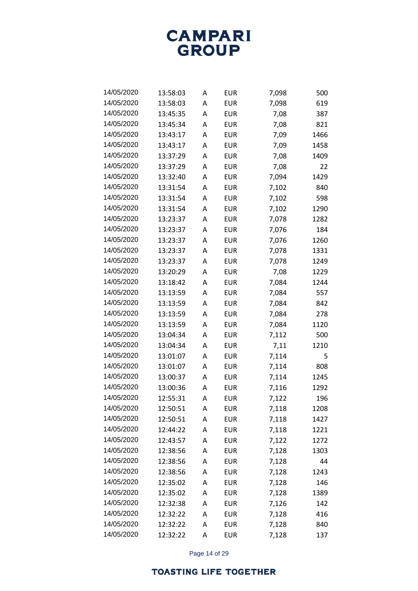

| 14/05/2020 | 13:58:03 | A | EUR        | 7,098 | 500  |
|------------|----------|---|------------|-------|------|
| 14/05/2020 | 13:58:03 | A | EUR        | 7,098 | 619  |
| 14/05/2020 | 13:45:35 | A | EUR        | 7,08  | 387  |
| 14/05/2020 | 13:45:34 | A | EUR        | 7,08  | 821  |
| 14/05/2020 | 13:43:17 | A | EUR        | 7,09  | 1466 |
| 14/05/2020 | 13:43:17 | A | EUR        | 7,09  | 1458 |
| 14/05/2020 | 13:37:29 | А | <b>EUR</b> | 7,08  | 1409 |
| 14/05/2020 | 13:37:29 | A | <b>EUR</b> | 7,08  | 22   |
| 14/05/2020 | 13:32:40 | A | EUR        | 7,094 | 1429 |
| 14/05/2020 | 13:31:54 | A | EUR        | 7,102 | 840  |
| 14/05/2020 | 13:31:54 | A | <b>EUR</b> | 7,102 | 598  |
| 14/05/2020 | 13:31:54 | A | EUR        | 7,102 | 1290 |
| 14/05/2020 | 13:23:37 | A | EUR        | 7,078 | 1282 |
| 14/05/2020 | 13:23:37 | A | EUR        | 7,076 | 184  |
| 14/05/2020 | 13:23:37 | A | <b>EUR</b> | 7,076 | 1260 |
| 14/05/2020 | 13:23:37 | A | <b>EUR</b> | 7,078 | 1331 |
| 14/05/2020 | 13:23:37 | A | <b>EUR</b> | 7,078 | 1249 |
| 14/05/2020 | 13:20:29 | A | EUR        | 7,08  | 1229 |
| 14/05/2020 | 13:18:42 | A | <b>EUR</b> | 7,084 | 1244 |
| 14/05/2020 | 13:13:59 | A | EUR        | 7,084 | 557  |
| 14/05/2020 | 13:13:59 | A | EUR        | 7,084 | 842  |
| 14/05/2020 | 13:13:59 | A | EUR        | 7,084 | 278  |
| 14/05/2020 | 13:13:59 | A | EUR        | 7,084 | 1120 |
| 14/05/2020 | 13:04:34 | A | EUR        | 7,112 | 500  |
| 14/05/2020 | 13:04:34 | A | EUR        | 7,11  | 1210 |
| 14/05/2020 | 13:01:07 | A | EUR        | 7,114 | 5    |
| 14/05/2020 | 13:01:07 | A | EUR        | 7,114 | 808  |
| 14/05/2020 | 13:00:37 | A | <b>EUR</b> | 7,114 | 1245 |
| 14/05/2020 | 13:00:36 | A | <b>EUR</b> | 7,116 | 1292 |
| 14/05/2020 | 12:55:31 | Α | <b>EUR</b> | 7,122 | 196  |
| 14/05/2020 | 12:50:51 | A | <b>EUR</b> | 7,118 | 1208 |
| 14/05/2020 | 12:50:51 | Α | <b>EUR</b> | 7,118 | 1427 |
| 14/05/2020 | 12:44:22 | Α | <b>EUR</b> | 7,118 | 1221 |
| 14/05/2020 | 12:43:57 | Α | <b>EUR</b> | 7,122 | 1272 |
| 14/05/2020 | 12:38:56 | Α | <b>EUR</b> | 7,128 | 1303 |
| 14/05/2020 | 12:38:56 | Α | <b>EUR</b> | 7,128 | 44   |
| 14/05/2020 | 12:38:56 | Α | <b>EUR</b> | 7,128 | 1243 |
| 14/05/2020 | 12:35:02 | Α | <b>EUR</b> | 7,128 | 146  |
| 14/05/2020 | 12:35:02 | Α | <b>EUR</b> | 7,128 | 1389 |
| 14/05/2020 | 12:32:38 | Α | <b>EUR</b> | 7,126 | 142  |
| 14/05/2020 | 12:32:22 | Α | <b>EUR</b> | 7,128 | 416  |
| 14/05/2020 | 12:32:22 | Α | <b>EUR</b> | 7,128 | 840  |
| 14/05/2020 | 12:32:22 | Α | <b>EUR</b> | 7,128 | 137  |

Page 14 of 29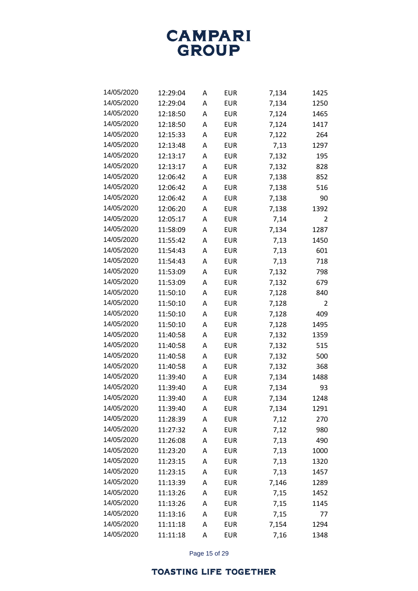

| 14/05/2020 | 12:29:04 | A | EUR        | 7,134 | 1425 |
|------------|----------|---|------------|-------|------|
| 14/05/2020 | 12:29:04 | A | EUR        | 7,134 | 1250 |
| 14/05/2020 | 12:18:50 | A | EUR        | 7,124 | 1465 |
| 14/05/2020 | 12:18:50 | A | EUR        | 7,124 | 1417 |
| 14/05/2020 | 12:15:33 | A | EUR        | 7,122 | 264  |
| 14/05/2020 | 12:13:48 | A | EUR        | 7,13  | 1297 |
| 14/05/2020 | 12:13:17 | A | EUR        | 7,132 | 195  |
| 14/05/2020 | 12:13:17 | A | EUR        | 7,132 | 828  |
| 14/05/2020 | 12:06:42 | A | EUR        | 7,138 | 852  |
| 14/05/2020 | 12:06:42 | A | <b>EUR</b> | 7,138 | 516  |
| 14/05/2020 | 12:06:42 | A | EUR        | 7,138 | 90   |
| 14/05/2020 | 12:06:20 | A | EUR        | 7,138 | 1392 |
| 14/05/2020 | 12:05:17 | A | EUR        | 7,14  | 2    |
| 14/05/2020 | 11:58:09 | A | <b>EUR</b> | 7,134 | 1287 |
| 14/05/2020 | 11:55:42 | A | EUR        | 7,13  | 1450 |
| 14/05/2020 | 11:54:43 | A | EUR        | 7,13  | 601  |
| 14/05/2020 | 11:54:43 | A | EUR        | 7,13  | 718  |
| 14/05/2020 | 11:53:09 | A | EUR        | 7,132 | 798  |
| 14/05/2020 | 11:53:09 | A | EUR        | 7,132 | 679  |
| 14/05/2020 | 11:50:10 | A | EUR        | 7,128 | 840  |
| 14/05/2020 | 11:50:10 | A | EUR        | 7,128 | 2    |
| 14/05/2020 | 11:50:10 | A | EUR        | 7,128 | 409  |
| 14/05/2020 | 11:50:10 | A | EUR        | 7,128 | 1495 |
| 14/05/2020 | 11:40:58 | A | EUR        | 7,132 | 1359 |
| 14/05/2020 | 11:40:58 | A | EUR        | 7,132 | 515  |
| 14/05/2020 | 11:40:58 | A | EUR        | 7,132 | 500  |
| 14/05/2020 | 11:40:58 | A | EUR        | 7,132 | 368  |
| 14/05/2020 | 11:39:40 | A | EUR        | 7,134 | 1488 |
| 14/05/2020 | 11:39:40 | A | EUR        | 7,134 | 93   |
| 14/05/2020 | 11:39:40 | A | EUR        | 7,134 | 1248 |
| 14/05/2020 | 11:39:40 | Α | <b>EUR</b> | 7,134 | 1291 |
| 14/05/2020 | 11:28:39 | Α | <b>EUR</b> | 7,12  | 270  |
| 14/05/2020 | 11:27:32 | Α | <b>EUR</b> | 7,12  | 980  |
| 14/05/2020 | 11:26:08 | Α | <b>EUR</b> | 7,13  | 490  |
| 14/05/2020 | 11:23:20 | Α | <b>EUR</b> | 7,13  | 1000 |
| 14/05/2020 | 11:23:15 | Α | <b>EUR</b> | 7,13  | 1320 |
| 14/05/2020 | 11:23:15 | Α | <b>EUR</b> | 7,13  | 1457 |
| 14/05/2020 | 11:13:39 | Α | <b>EUR</b> | 7,146 | 1289 |
| 14/05/2020 | 11:13:26 | Α | <b>EUR</b> | 7,15  | 1452 |
| 14/05/2020 | 11:13:26 | Α | <b>EUR</b> | 7,15  | 1145 |
| 14/05/2020 | 11:13:16 | Α | <b>EUR</b> | 7,15  | 77   |
| 14/05/2020 | 11:11:18 | Α | <b>EUR</b> | 7,154 | 1294 |
| 14/05/2020 | 11:11:18 | Α | EUR        | 7,16  | 1348 |

Page 15 of 29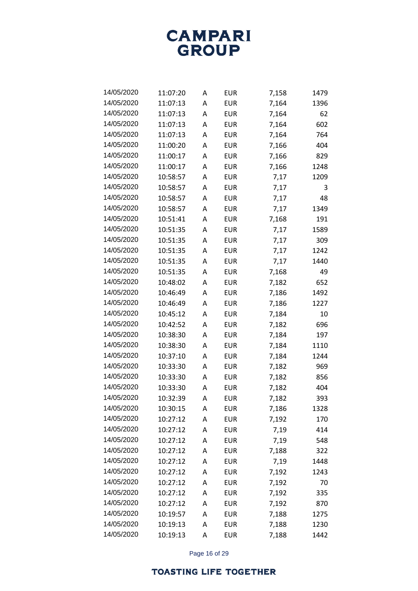

| 14/05/2020 | 11:07:20 | A | EUR        | 7,158 | 1479 |
|------------|----------|---|------------|-------|------|
| 14/05/2020 | 11:07:13 | A | EUR        | 7,164 | 1396 |
| 14/05/2020 | 11:07:13 | A | <b>EUR</b> | 7,164 | 62   |
| 14/05/2020 | 11:07:13 | A | EUR        | 7,164 | 602  |
| 14/05/2020 | 11:07:13 | A | EUR        | 7,164 | 764  |
| 14/05/2020 | 11:00:20 | A | EUR        | 7,166 | 404  |
| 14/05/2020 | 11:00:17 | A | EUR        | 7,166 | 829  |
| 14/05/2020 | 11:00:17 | A | EUR        | 7,166 | 1248 |
| 14/05/2020 | 10:58:57 | A | EUR        | 7,17  | 1209 |
| 14/05/2020 | 10:58:57 | A | EUR        | 7,17  | 3    |
| 14/05/2020 | 10:58:57 | A | EUR        | 7,17  | 48   |
| 14/05/2020 | 10:58:57 | A | EUR        | 7,17  | 1349 |
| 14/05/2020 | 10:51:41 | A | EUR        | 7,168 | 191  |
| 14/05/2020 | 10:51:35 | A | EUR        | 7,17  | 1589 |
| 14/05/2020 | 10:51:35 | A | EUR        | 7,17  | 309  |
| 14/05/2020 | 10:51:35 | A | EUR        | 7,17  | 1242 |
| 14/05/2020 | 10:51:35 | A | <b>EUR</b> | 7,17  | 1440 |
| 14/05/2020 | 10:51:35 | A | EUR        | 7,168 | 49   |
| 14/05/2020 | 10:48:02 | A | EUR        | 7,182 | 652  |
| 14/05/2020 | 10:46:49 | A | EUR        | 7,186 | 1492 |
| 14/05/2020 | 10:46:49 | A | EUR        | 7,186 | 1227 |
| 14/05/2020 | 10:45:12 | A | EUR        | 7,184 | 10   |
| 14/05/2020 | 10:42:52 | A | EUR        | 7,182 | 696  |
| 14/05/2020 | 10:38:30 | A | EUR        | 7,184 | 197  |
| 14/05/2020 | 10:38:30 | A | EUR        | 7,184 | 1110 |
| 14/05/2020 | 10:37:10 | A | EUR        | 7,184 | 1244 |
| 14/05/2020 | 10:33:30 | A | <b>EUR</b> | 7,182 | 969  |
| 14/05/2020 | 10:33:30 | A | EUR        | 7,182 | 856  |
| 14/05/2020 | 10:33:30 | A | EUR        | 7,182 | 404  |
| 14/05/2020 | 10:32:39 | A | EUR        | 7,182 | 393  |
| 14/05/2020 | 10:30:15 | Α | <b>EUR</b> | 7,186 | 1328 |
| 14/05/2020 | 10:27:12 | Α | <b>EUR</b> | 7,192 | 170  |
| 14/05/2020 | 10:27:12 | A | <b>EUR</b> | 7,19  | 414  |
| 14/05/2020 | 10:27:12 | A | <b>EUR</b> | 7,19  | 548  |
| 14/05/2020 | 10:27:12 | Α | <b>EUR</b> | 7,188 | 322  |
| 14/05/2020 | 10:27:12 | Α | <b>EUR</b> | 7,19  | 1448 |
| 14/05/2020 | 10:27:12 | A | <b>EUR</b> | 7,192 | 1243 |
| 14/05/2020 | 10:27:12 | A | <b>EUR</b> | 7,192 | 70   |
| 14/05/2020 | 10:27:12 | Α | <b>EUR</b> | 7,192 | 335  |
| 14/05/2020 | 10:27:12 | Α | <b>EUR</b> | 7,192 | 870  |
| 14/05/2020 | 10:19:57 | A | <b>EUR</b> | 7,188 | 1275 |
| 14/05/2020 | 10:19:13 | Α | <b>EUR</b> | 7,188 | 1230 |
| 14/05/2020 | 10:19:13 | Α | <b>EUR</b> | 7,188 | 1442 |

Page 16 of 29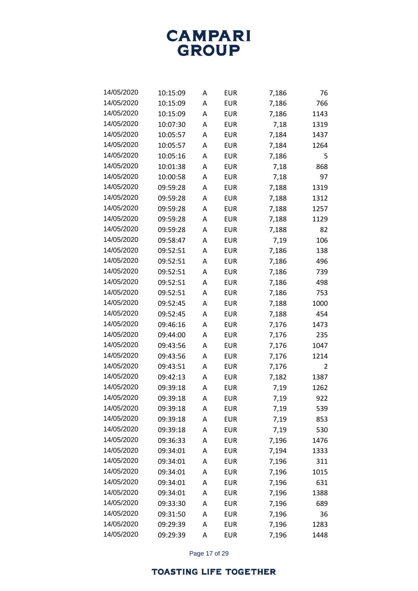

| 14/05/2020 | 10:15:09 | A | EUR        | 7,186 | 76   |
|------------|----------|---|------------|-------|------|
| 14/05/2020 | 10:15:09 | A | EUR        | 7,186 | 766  |
| 14/05/2020 | 10:15:09 | A | EUR        | 7,186 | 1143 |
| 14/05/2020 | 10:07:30 | A | EUR        | 7,18  | 1319 |
| 14/05/2020 | 10:05:57 | A | EUR        | 7,184 | 1437 |
| 14/05/2020 | 10:05:57 | A | EUR        | 7,184 | 1264 |
| 14/05/2020 | 10:05:16 | A | EUR        | 7,186 | 5    |
| 14/05/2020 | 10:01:38 | A | <b>EUR</b> | 7,18  | 868  |
| 14/05/2020 | 10:00:58 | A | EUR        | 7,18  | 97   |
| 14/05/2020 | 09:59:28 | A | EUR        | 7,188 | 1319 |
| 14/05/2020 | 09:59:28 | A | EUR        | 7,188 | 1312 |
| 14/05/2020 | 09:59:28 | А | EUR        | 7,188 | 1257 |
| 14/05/2020 | 09:59:28 | A | EUR        | 7,188 | 1129 |
| 14/05/2020 | 09:59:28 | A | EUR        | 7,188 | 82   |
| 14/05/2020 | 09:58:47 | A | EUR        | 7,19  | 106  |
| 14/05/2020 | 09:52:51 | A | <b>EUR</b> | 7,186 | 138  |
| 14/05/2020 | 09:52:51 | A | EUR        | 7,186 | 496  |
| 14/05/2020 | 09:52:51 | A | EUR        | 7,186 | 739  |
| 14/05/2020 | 09:52:51 | A | EUR        | 7,186 | 498  |
| 14/05/2020 | 09:52:51 | A | EUR        | 7,186 | 753  |
| 14/05/2020 | 09:52:45 | A | EUR        | 7,188 | 1000 |
| 14/05/2020 | 09:52:45 | A | EUR        | 7,188 | 454  |
| 14/05/2020 | 09:46:16 | A | EUR        | 7,176 | 1473 |
| 14/05/2020 | 09:44:00 | A | EUR        | 7,176 | 235  |
| 14/05/2020 | 09:43:56 | A | EUR        | 7,176 | 1047 |
| 14/05/2020 | 09:43:56 | A | EUR        | 7,176 | 1214 |
| 14/05/2020 | 09:43:51 | A | EUR        | 7,176 | 2    |
| 14/05/2020 | 09:42:13 | A | <b>EUR</b> | 7,182 | 1387 |
| 14/05/2020 | 09:39:18 | A | EUR        | 7,19  | 1262 |
| 14/05/2020 | 09:39:18 | A | EUR        | 7,19  | 922  |
| 14/05/2020 | 09:39:18 | Α | <b>EUR</b> | 7,19  | 539  |
| 14/05/2020 | 09:39:18 | Α | <b>EUR</b> | 7,19  | 853  |
| 14/05/2020 | 09:39:18 | A | <b>EUR</b> | 7,19  | 530  |
| 14/05/2020 | 09:36:33 | A | <b>EUR</b> | 7,196 | 1476 |
| 14/05/2020 | 09:34:01 | A | <b>EUR</b> | 7,194 | 1333 |
| 14/05/2020 | 09:34:01 | Α | <b>EUR</b> | 7,196 | 311  |
| 14/05/2020 | 09:34:01 | A | <b>EUR</b> | 7,196 | 1015 |
| 14/05/2020 | 09:34:01 | A | <b>EUR</b> | 7,196 | 631  |
| 14/05/2020 | 09:34:01 | A | <b>EUR</b> | 7,196 | 1388 |
| 14/05/2020 | 09:33:30 | Α | <b>EUR</b> | 7,196 | 689  |
| 14/05/2020 | 09:31:50 | A | <b>EUR</b> | 7,196 | 36   |
| 14/05/2020 | 09:29:39 | Α | <b>EUR</b> | 7,196 | 1283 |
| 14/05/2020 | 09:29:39 | Α | <b>EUR</b> | 7,196 | 1448 |

Page 17 of 29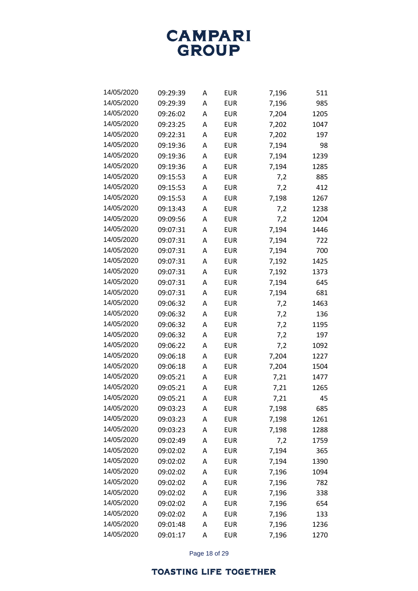

| 14/05/2020 | 09:29:39 | A | EUR        | 7,196 | 511  |
|------------|----------|---|------------|-------|------|
| 14/05/2020 | 09:29:39 | A | EUR        | 7,196 | 985  |
| 14/05/2020 | 09:26:02 | A | EUR        | 7,204 | 1205 |
| 14/05/2020 | 09:23:25 | A | EUR        | 7,202 | 1047 |
| 14/05/2020 | 09:22:31 | A | EUR        | 7,202 | 197  |
| 14/05/2020 | 09:19:36 | A | EUR        | 7,194 | 98   |
| 14/05/2020 | 09:19:36 | A | EUR        | 7,194 | 1239 |
| 14/05/2020 | 09:19:36 | A | EUR        | 7,194 | 1285 |
| 14/05/2020 | 09:15:53 | A | EUR        | 7,2   | 885  |
| 14/05/2020 | 09:15:53 | A | EUR        | 7,2   | 412  |
| 14/05/2020 | 09:15:53 | A | EUR        | 7,198 | 1267 |
| 14/05/2020 | 09:13:43 | А | EUR        | 7,2   | 1238 |
| 14/05/2020 | 09:09:56 | A | EUR        | 7,2   | 1204 |
| 14/05/2020 | 09:07:31 | A | <b>EUR</b> | 7,194 | 1446 |
| 14/05/2020 | 09:07:31 | A | EUR        | 7,194 | 722  |
| 14/05/2020 | 09:07:31 | А | EUR        | 7,194 | 700  |
| 14/05/2020 | 09:07:31 | А | EUR        | 7,192 | 1425 |
| 14/05/2020 | 09:07:31 | A | <b>EUR</b> | 7,192 | 1373 |
| 14/05/2020 | 09:07:31 | A | EUR        | 7,194 | 645  |
| 14/05/2020 | 09:07:31 | А | EUR        | 7,194 | 681  |
| 14/05/2020 | 09:06:32 | A | EUR        | 7,2   | 1463 |
| 14/05/2020 | 09:06:32 | A | EUR        | 7,2   | 136  |
| 14/05/2020 | 09:06:32 | A | EUR        | 7,2   | 1195 |
| 14/05/2020 | 09:06:32 | A | EUR        | 7,2   | 197  |
| 14/05/2020 | 09:06:22 | A | EUR        | 7,2   | 1092 |
| 14/05/2020 | 09:06:18 | A | EUR        | 7,204 | 1227 |
| 14/05/2020 | 09:06:18 | A | <b>EUR</b> | 7,204 | 1504 |
| 14/05/2020 | 09:05:21 | A | EUR        | 7,21  | 1477 |
| 14/05/2020 | 09:05:21 | A | EUR        | 7,21  | 1265 |
| 14/05/2020 | 09:05:21 | A | EUR        | 7,21  | 45   |
| 14/05/2020 | 09:03:23 | A | <b>EUR</b> | 7,198 | 685  |
| 14/05/2020 | 09:03:23 | Α | <b>EUR</b> | 7,198 | 1261 |
| 14/05/2020 | 09:03:23 | A | <b>EUR</b> | 7,198 | 1288 |
| 14/05/2020 | 09:02:49 | A | <b>EUR</b> | 7,2   | 1759 |
| 14/05/2020 | 09:02:02 | A | <b>EUR</b> | 7,194 | 365  |
| 14/05/2020 | 09:02:02 | A | <b>EUR</b> | 7,194 | 1390 |
| 14/05/2020 | 09:02:02 | A | <b>EUR</b> | 7,196 | 1094 |
| 14/05/2020 | 09:02:02 | A | <b>EUR</b> | 7,196 | 782  |
| 14/05/2020 | 09:02:02 | A | <b>EUR</b> | 7,196 | 338  |
| 14/05/2020 | 09:02:02 | Α | <b>EUR</b> | 7,196 | 654  |
| 14/05/2020 | 09:02:02 | A | <b>EUR</b> | 7,196 | 133  |
| 14/05/2020 | 09:01:48 | Α | <b>EUR</b> | 7,196 | 1236 |
| 14/05/2020 | 09:01:17 | А | <b>EUR</b> | 7,196 | 1270 |

Page 18 of 29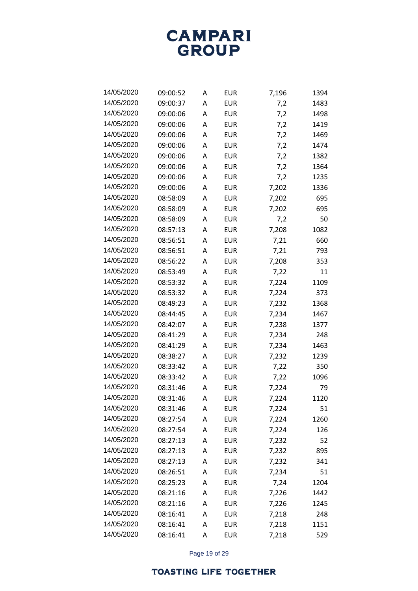

| 14/05/2020 | 09:00:52 | A | EUR        | 7,196 | 1394 |
|------------|----------|---|------------|-------|------|
| 14/05/2020 | 09:00:37 | A | EUR        | 7,2   | 1483 |
| 14/05/2020 | 09:00:06 | A | EUR        | 7,2   | 1498 |
| 14/05/2020 | 09:00:06 | A | EUR        | 7,2   | 1419 |
| 14/05/2020 | 09:00:06 | A | EUR        | 7,2   | 1469 |
| 14/05/2020 | 09:00:06 | A | EUR        | 7,2   | 1474 |
| 14/05/2020 | 09:00:06 | A | EUR        | 7,2   | 1382 |
| 14/05/2020 | 09:00:06 | A | EUR        | 7,2   | 1364 |
| 14/05/2020 | 09:00:06 | A | EUR        | 7,2   | 1235 |
| 14/05/2020 | 09:00:06 | A | EUR        | 7,202 | 1336 |
| 14/05/2020 | 08:58:09 | A | EUR        | 7,202 | 695  |
| 14/05/2020 | 08:58:09 | A | EUR        | 7,202 | 695  |
| 14/05/2020 | 08:58:09 | A | EUR        | 7,2   | 50   |
| 14/05/2020 | 08:57:13 | A | EUR        | 7,208 | 1082 |
| 14/05/2020 | 08:56:51 | A | EUR        | 7,21  | 660  |
| 14/05/2020 | 08:56:51 | A | EUR        | 7,21  | 793  |
| 14/05/2020 | 08:56:22 | A | EUR        | 7,208 | 353  |
| 14/05/2020 | 08:53:49 | A | <b>EUR</b> | 7,22  | 11   |
| 14/05/2020 | 08:53:32 | A | EUR        | 7,224 | 1109 |
| 14/05/2020 | 08:53:32 | A | EUR        | 7,224 | 373  |
| 14/05/2020 | 08:49:23 | A | EUR        | 7,232 | 1368 |
| 14/05/2020 | 08:44:45 | A | EUR        | 7,234 | 1467 |
| 14/05/2020 | 08:42:07 | A | EUR        | 7,238 | 1377 |
| 14/05/2020 | 08:41:29 | A | EUR        | 7,234 | 248  |
| 14/05/2020 | 08:41:29 | A | EUR        | 7,234 | 1463 |
| 14/05/2020 | 08:38:27 | A | EUR        | 7,232 | 1239 |
| 14/05/2020 | 08:33:42 | A | <b>EUR</b> | 7,22  | 350  |
| 14/05/2020 | 08:33:42 | A | EUR        | 7,22  | 1096 |
| 14/05/2020 | 08:31:46 | A | EUR        | 7,224 | 79   |
| 14/05/2020 | 08:31:46 | A | EUR        | 7,224 | 1120 |
| 14/05/2020 | 08:31:46 | A | <b>EUR</b> | 7,224 | 51   |
| 14/05/2020 | 08:27:54 | Α | <b>EUR</b> | 7,224 | 1260 |
| 14/05/2020 | 08:27:54 | A | <b>EUR</b> | 7,224 | 126  |
| 14/05/2020 | 08:27:13 | Α | <b>EUR</b> | 7,232 | 52   |
| 14/05/2020 | 08:27:13 | Α | <b>EUR</b> | 7,232 | 895  |
| 14/05/2020 | 08:27:13 | Α | <b>EUR</b> | 7,232 | 341  |
| 14/05/2020 | 08:26:51 | A | <b>EUR</b> | 7,234 | 51   |
| 14/05/2020 | 08:25:23 | Α | <b>EUR</b> | 7,24  | 1204 |
| 14/05/2020 | 08:21:16 | Α | <b>EUR</b> | 7,226 | 1442 |
| 14/05/2020 | 08:21:16 | Α | <b>EUR</b> | 7,226 | 1245 |
| 14/05/2020 | 08:16:41 | A | <b>EUR</b> | 7,218 | 248  |
| 14/05/2020 | 08:16:41 | A | <b>EUR</b> | 7,218 | 1151 |
| 14/05/2020 | 08:16:41 | Α | <b>EUR</b> | 7,218 | 529  |

Page 19 of 29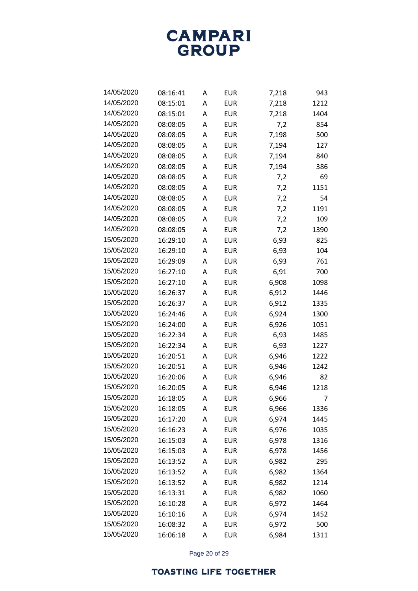

| 14/05/2020 | 08:16:41 | A | EUR        | 7,218 | 943  |
|------------|----------|---|------------|-------|------|
| 14/05/2020 | 08:15:01 | A | EUR        | 7,218 | 1212 |
| 14/05/2020 | 08:15:01 | A | <b>EUR</b> | 7,218 | 1404 |
| 14/05/2020 | 08:08:05 | A | EUR        | 7,2   | 854  |
| 14/05/2020 | 08:08:05 | A | EUR        | 7,198 | 500  |
| 14/05/2020 | 08:08:05 | A | EUR        | 7,194 | 127  |
| 14/05/2020 | 08:08:05 | A | EUR        | 7,194 | 840  |
| 14/05/2020 | 08:08:05 | A | EUR        | 7,194 | 386  |
| 14/05/2020 | 08:08:05 | A | <b>EUR</b> | 7,2   | 69   |
| 14/05/2020 | 08:08:05 | A | EUR        | 7,2   | 1151 |
| 14/05/2020 | 08:08:05 | A | <b>EUR</b> | 7,2   | 54   |
| 14/05/2020 | 08:08:05 | A | EUR        | 7,2   | 1191 |
| 14/05/2020 | 08:08:05 | A | EUR        | 7,2   | 109  |
| 14/05/2020 | 08:08:05 | A | EUR        | 7,2   | 1390 |
| 15/05/2020 | 16:29:10 | A | <b>EUR</b> | 6,93  | 825  |
| 15/05/2020 | 16:29:10 | A | EUR        | 6,93  | 104  |
| 15/05/2020 | 16:29:09 | A | EUR        | 6,93  | 761  |
| 15/05/2020 | 16:27:10 | A | EUR        | 6,91  | 700  |
| 15/05/2020 | 16:27:10 | A | <b>EUR</b> | 6,908 | 1098 |
| 15/05/2020 | 16:26:37 | A | EUR        | 6,912 | 1446 |
| 15/05/2020 | 16:26:37 | A | EUR        | 6,912 | 1335 |
| 15/05/2020 | 16:24:46 | A | EUR        | 6,924 | 1300 |
| 15/05/2020 | 16:24:00 | A | <b>EUR</b> | 6,926 | 1051 |
| 15/05/2020 | 16:22:34 | A | EUR        | 6,93  | 1485 |
| 15/05/2020 | 16:22:34 | A | EUR        | 6,93  | 1227 |
| 15/05/2020 | 16:20:51 | A | EUR        | 6,946 | 1222 |
| 15/05/2020 | 16:20:51 | Α | <b>EUR</b> | 6,946 | 1242 |
| 15/05/2020 | 16:20:06 | A | <b>EUR</b> | 6,946 | 82   |
| 15/05/2020 | 16:20:05 | A | <b>EUR</b> | 6,946 | 1218 |
| 15/05/2020 | 16:18:05 | A | EUR        | 6,966 | 7    |
| 15/05/2020 | 16:18:05 | Α | <b>EUR</b> | 6,966 | 1336 |
| 15/05/2020 | 16:17:20 | Α | <b>EUR</b> | 6,974 | 1445 |
| 15/05/2020 | 16:16:23 | Α | <b>EUR</b> | 6,976 | 1035 |
| 15/05/2020 | 16:15:03 | Α | <b>EUR</b> | 6,978 | 1316 |
| 15/05/2020 | 16:15:03 | Α | <b>EUR</b> | 6,978 | 1456 |
| 15/05/2020 | 16:13:52 | Α | <b>EUR</b> | 6,982 | 295  |
| 15/05/2020 | 16:13:52 | Α | <b>EUR</b> | 6,982 | 1364 |
| 15/05/2020 | 16:13:52 | Α | <b>EUR</b> | 6,982 | 1214 |
| 15/05/2020 | 16:13:31 | Α | <b>EUR</b> | 6,982 | 1060 |
| 15/05/2020 | 16:10:28 | Α | <b>EUR</b> | 6,972 | 1464 |
| 15/05/2020 | 16:10:16 | Α | <b>EUR</b> | 6,974 | 1452 |
| 15/05/2020 | 16:08:32 | Α | <b>EUR</b> | 6,972 | 500  |
| 15/05/2020 | 16:06:18 | Α | EUR        | 6,984 | 1311 |

Page 20 of 29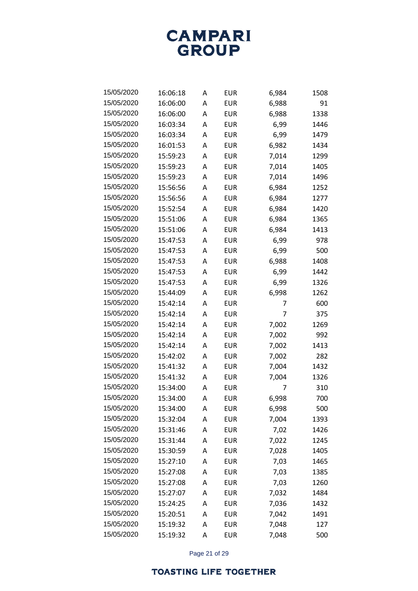

| 15/05/2020 | 16:06:18 | A | EUR        | 6,984 | 1508 |
|------------|----------|---|------------|-------|------|
| 15/05/2020 | 16:06:00 | A | EUR        | 6,988 | 91   |
| 15/05/2020 | 16:06:00 | A | EUR        | 6,988 | 1338 |
| 15/05/2020 | 16:03:34 | A | EUR        | 6,99  | 1446 |
| 15/05/2020 | 16:03:34 | A | EUR        | 6,99  | 1479 |
| 15/05/2020 | 16:01:53 | A | <b>EUR</b> | 6,982 | 1434 |
| 15/05/2020 | 15:59:23 | A | <b>EUR</b> | 7,014 | 1299 |
| 15/05/2020 | 15:59:23 | A | <b>EUR</b> | 7,014 | 1405 |
| 15/05/2020 | 15:59:23 | A | <b>EUR</b> | 7,014 | 1496 |
| 15/05/2020 | 15:56:56 | A | <b>EUR</b> | 6,984 | 1252 |
| 15/05/2020 | 15:56:56 | A | <b>EUR</b> | 6,984 | 1277 |
| 15/05/2020 | 15:52:54 | A | EUR        | 6,984 | 1420 |
| 15/05/2020 | 15:51:06 | A | <b>EUR</b> | 6,984 | 1365 |
| 15/05/2020 | 15:51:06 | A | <b>EUR</b> | 6,984 | 1413 |
| 15/05/2020 | 15:47:53 | A | <b>EUR</b> | 6,99  | 978  |
| 15/05/2020 | 15:47:53 | A | EUR        | 6,99  | 500  |
| 15/05/2020 | 15:47:53 | A | <b>EUR</b> | 6,988 | 1408 |
| 15/05/2020 | 15:47:53 | A | <b>EUR</b> | 6,99  | 1442 |
| 15/05/2020 | 15:47:53 | A | <b>EUR</b> | 6,99  | 1326 |
| 15/05/2020 | 15:44:09 | A | EUR        | 6,998 | 1262 |
| 15/05/2020 | 15:42:14 | A | <b>EUR</b> | 7     | 600  |
| 15/05/2020 | 15:42:14 | A | <b>EUR</b> | 7     | 375  |
| 15/05/2020 | 15:42:14 | A | <b>EUR</b> | 7,002 | 1269 |
| 15/05/2020 | 15:42:14 | A | EUR        | 7,002 | 992  |
| 15/05/2020 | 15:42:14 | A | <b>EUR</b> | 7,002 | 1413 |
| 15/05/2020 | 15:42:02 | A | <b>EUR</b> | 7,002 | 282  |
| 15/05/2020 | 15:41:32 | A | <b>EUR</b> | 7,004 | 1432 |
| 15/05/2020 | 15:41:32 | A | <b>EUR</b> | 7,004 | 1326 |
| 15/05/2020 | 15:34:00 | A | EUR        | 7     | 310  |
| 15/05/2020 | 15:34:00 | A | <b>EUR</b> | 6,998 | 700  |
| 15/05/2020 | 15:34:00 | A | <b>EUR</b> | 6,998 | 500  |
| 15/05/2020 | 15:32:04 | A | <b>EUR</b> | 7,004 | 1393 |
| 15/05/2020 | 15:31:46 | A | <b>EUR</b> | 7,02  | 1426 |
| 15/05/2020 | 15:31:44 | A | <b>EUR</b> | 7,022 | 1245 |
| 15/05/2020 | 15:30:59 | Α | <b>EUR</b> | 7,028 | 1405 |
| 15/05/2020 | 15:27:10 | A | <b>EUR</b> | 7,03  | 1465 |
| 15/05/2020 | 15:27:08 | Α | <b>EUR</b> | 7,03  | 1385 |
| 15/05/2020 | 15:27:08 | A | <b>EUR</b> | 7,03  | 1260 |
| 15/05/2020 | 15:27:07 | Α | <b>EUR</b> | 7,032 | 1484 |
| 15/05/2020 | 15:24:25 | A | <b>EUR</b> | 7,036 | 1432 |
| 15/05/2020 | 15:20:51 | A | <b>EUR</b> | 7,042 | 1491 |
| 15/05/2020 | 15:19:32 | A | <b>EUR</b> | 7,048 | 127  |
| 15/05/2020 | 15:19:32 | Α | <b>EUR</b> | 7,048 | 500  |

Page 21 of 29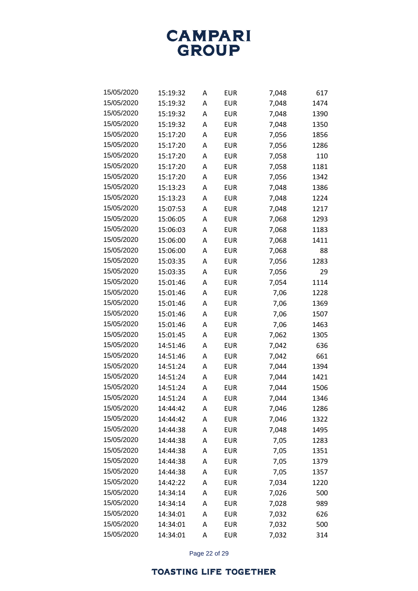

| 15/05/2020 | 15:19:32 | A | EUR        | 7,048 | 617  |
|------------|----------|---|------------|-------|------|
| 15/05/2020 | 15:19:32 | A | EUR        | 7,048 | 1474 |
| 15/05/2020 | 15:19:32 | A | EUR        | 7,048 | 1390 |
| 15/05/2020 | 15:19:32 | A | EUR        | 7,048 | 1350 |
| 15/05/2020 | 15:17:20 | A | EUR        | 7,056 | 1856 |
| 15/05/2020 | 15:17:20 | A | EUR        | 7,056 | 1286 |
| 15/05/2020 | 15:17:20 | A | <b>EUR</b> | 7,058 | 110  |
| 15/05/2020 | 15:17:20 | A | <b>EUR</b> | 7,058 | 1181 |
| 15/05/2020 | 15:17:20 | A | EUR        | 7,056 | 1342 |
| 15/05/2020 | 15:13:23 | A | EUR        | 7,048 | 1386 |
| 15/05/2020 | 15:13:23 | A | <b>EUR</b> | 7,048 | 1224 |
| 15/05/2020 | 15:07:53 | A | EUR        | 7,048 | 1217 |
| 15/05/2020 | 15:06:05 | A | EUR        | 7,068 | 1293 |
| 15/05/2020 | 15:06:03 | A | EUR        | 7,068 | 1183 |
| 15/05/2020 | 15:06:00 | A | <b>EUR</b> | 7,068 | 1411 |
| 15/05/2020 | 15:06:00 | A | EUR        | 7,068 | 88   |
| 15/05/2020 | 15:03:35 | A | EUR        | 7,056 | 1283 |
| 15/05/2020 | 15:03:35 | A | <b>EUR</b> | 7,056 | 29   |
| 15/05/2020 | 15:01:46 | А | <b>EUR</b> | 7,054 | 1114 |
| 15/05/2020 | 15:01:46 | A | EUR        | 7,06  | 1228 |
| 15/05/2020 | 15:01:46 | A | EUR        | 7,06  | 1369 |
| 15/05/2020 | 15:01:46 | A | EUR        | 7,06  | 1507 |
| 15/05/2020 | 15:01:46 | А | <b>EUR</b> | 7,06  | 1463 |
| 15/05/2020 | 15:01:45 | A | EUR        | 7,062 | 1305 |
| 15/05/2020 | 14:51:46 | A | EUR        | 7,042 | 636  |
| 15/05/2020 | 14:51:46 | A | EUR        | 7,042 | 661  |
| 15/05/2020 | 14:51:24 | A | EUR        | 7,044 | 1394 |
| 15/05/2020 | 14:51:24 | A | <b>EUR</b> | 7,044 | 1421 |
| 15/05/2020 | 14:51:24 | A | EUR        | 7,044 | 1506 |
| 15/05/2020 | 14:51:24 | A | EUR        | 7,044 | 1346 |
| 15/05/2020 | 14:44:42 | A | <b>EUR</b> | 7,046 | 1286 |
| 15/05/2020 | 14:44:42 | A | <b>EUR</b> | 7,046 | 1322 |
| 15/05/2020 | 14:44:38 | А | <b>EUR</b> | 7,048 | 1495 |
| 15/05/2020 | 14:44:38 | A | <b>EUR</b> | 7,05  | 1283 |
| 15/05/2020 | 14:44:38 | А | <b>EUR</b> | 7,05  | 1351 |
| 15/05/2020 | 14:44:38 | A | <b>EUR</b> | 7,05  | 1379 |
| 15/05/2020 | 14:44:38 | А | <b>EUR</b> | 7,05  | 1357 |
| 15/05/2020 | 14:42:22 | A | <b>EUR</b> | 7,034 | 1220 |
| 15/05/2020 | 14:34:14 | А | <b>EUR</b> | 7,026 | 500  |
| 15/05/2020 | 14:34:14 | A | <b>EUR</b> | 7,028 | 989  |
| 15/05/2020 | 14:34:01 | A | <b>EUR</b> | 7,032 | 626  |
| 15/05/2020 | 14:34:01 | A | <b>EUR</b> | 7,032 | 500  |
| 15/05/2020 | 14:34:01 | Α | <b>EUR</b> | 7,032 | 314  |

Page 22 of 29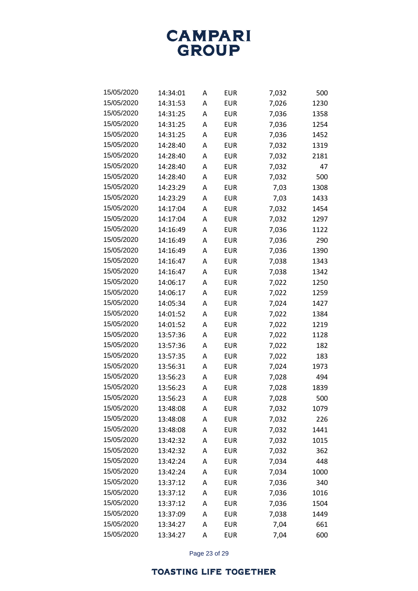

| 15/05/2020 | 14:34:01 | A | EUR        | 7,032 | 500  |
|------------|----------|---|------------|-------|------|
| 15/05/2020 | 14:31:53 | A | EUR        | 7,026 | 1230 |
| 15/05/2020 | 14:31:25 | A | <b>EUR</b> | 7,036 | 1358 |
| 15/05/2020 | 14:31:25 | A | EUR        | 7,036 | 1254 |
| 15/05/2020 | 14:31:25 | A | EUR        | 7,036 | 1452 |
| 15/05/2020 | 14:28:40 | A | <b>EUR</b> | 7,032 | 1319 |
| 15/05/2020 | 14:28:40 | A | <b>EUR</b> | 7,032 | 2181 |
| 15/05/2020 | 14:28:40 | A | EUR        | 7,032 | 47   |
| 15/05/2020 | 14:28:40 | A | <b>EUR</b> | 7,032 | 500  |
| 15/05/2020 | 14:23:29 | A | EUR        | 7,03  | 1308 |
| 15/05/2020 | 14:23:29 | A | <b>EUR</b> | 7,03  | 1433 |
| 15/05/2020 | 14:17:04 | A | EUR        | 7,032 | 1454 |
| 15/05/2020 | 14:17:04 | A | <b>EUR</b> | 7,032 | 1297 |
| 15/05/2020 | 14:16:49 | A | EUR        | 7,036 | 1122 |
| 15/05/2020 | 14:16:49 | А | <b>EUR</b> | 7,036 | 290  |
| 15/05/2020 | 14:16:49 | A | EUR        | 7,036 | 1390 |
| 15/05/2020 | 14:16:47 | A | <b>EUR</b> | 7,038 | 1343 |
| 15/05/2020 | 14:16:47 | A | EUR        | 7,038 | 1342 |
| 15/05/2020 | 14:06:17 | А | <b>EUR</b> | 7,022 | 1250 |
| 15/05/2020 | 14:06:17 | A | EUR        | 7,022 | 1259 |
| 15/05/2020 | 14:05:34 | A | EUR        | 7,024 | 1427 |
| 15/05/2020 | 14:01:52 | A | EUR        | 7,022 | 1384 |
| 15/05/2020 | 14:01:52 | А | <b>EUR</b> | 7,022 | 1219 |
| 15/05/2020 | 13:57:36 | A | EUR        | 7,022 | 1128 |
| 15/05/2020 | 13:57:36 | A | EUR        | 7,022 | 182  |
| 15/05/2020 | 13:57:35 | A | EUR        | 7,022 | 183  |
| 15/05/2020 | 13:56:31 | A | <b>EUR</b> | 7,024 | 1973 |
| 15/05/2020 | 13:56:23 | A | <b>EUR</b> | 7,028 | 494  |
| 15/05/2020 | 13:56:23 | A | EUR        | 7,028 | 1839 |
| 15/05/2020 | 13:56:23 | A | <b>EUR</b> | 7,028 | 500  |
| 15/05/2020 | 13:48:08 | A | <b>EUR</b> | 7,032 | 1079 |
| 15/05/2020 | 13:48:08 | Α | <b>EUR</b> | 7,032 | 226  |
| 15/05/2020 | 13:48:08 | А | <b>EUR</b> | 7,032 | 1441 |
| 15/05/2020 | 13:42:32 | A | <b>EUR</b> | 7,032 | 1015 |
| 15/05/2020 | 13:42:32 | А | <b>EUR</b> | 7,032 | 362  |
| 15/05/2020 | 13:42:24 | A | <b>EUR</b> | 7,034 | 448  |
| 15/05/2020 | 13:42:24 | А | <b>EUR</b> | 7,034 | 1000 |
| 15/05/2020 | 13:37:12 | A | <b>EUR</b> | 7,036 | 340  |
| 15/05/2020 | 13:37:12 | Α | <b>EUR</b> | 7,036 | 1016 |
| 15/05/2020 | 13:37:12 | A | <b>EUR</b> | 7,036 | 1504 |
| 15/05/2020 | 13:37:09 | А | <b>EUR</b> | 7,038 | 1449 |
| 15/05/2020 | 13:34:27 | A | <b>EUR</b> | 7,04  | 661  |
| 15/05/2020 | 13:34:27 | А | <b>EUR</b> | 7,04  | 600  |

Page 23 of 29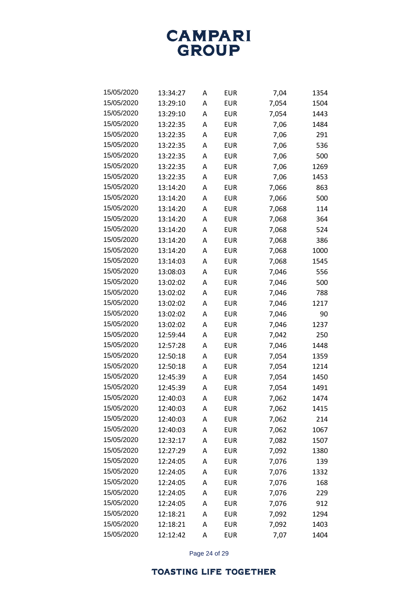

| 15/05/2020 | 13:34:27 | A | EUR        | 7,04  | 1354 |
|------------|----------|---|------------|-------|------|
| 15/05/2020 | 13:29:10 | A | EUR        | 7,054 | 1504 |
| 15/05/2020 | 13:29:10 | A | EUR        | 7,054 | 1443 |
| 15/05/2020 | 13:22:35 | A | EUR        | 7,06  | 1484 |
| 15/05/2020 | 13:22:35 | A | EUR        | 7,06  | 291  |
| 15/05/2020 | 13:22:35 | A | EUR        | 7,06  | 536  |
| 15/05/2020 | 13:22:35 | A | <b>EUR</b> | 7,06  | 500  |
| 15/05/2020 | 13:22:35 | A | EUR        | 7,06  | 1269 |
| 15/05/2020 | 13:22:35 | A | EUR        | 7,06  | 1453 |
| 15/05/2020 | 13:14:20 | A | EUR        | 7,066 | 863  |
| 15/05/2020 | 13:14:20 | A | EUR        | 7,066 | 500  |
| 15/05/2020 | 13:14:20 | A | EUR        | 7,068 | 114  |
| 15/05/2020 | 13:14:20 | A | EUR        | 7,068 | 364  |
| 15/05/2020 | 13:14:20 | A | <b>EUR</b> | 7,068 | 524  |
| 15/05/2020 | 13:14:20 | A | EUR        | 7,068 | 386  |
| 15/05/2020 | 13:14:20 | A | <b>EUR</b> | 7,068 | 1000 |
| 15/05/2020 | 13:14:03 | A | EUR        | 7,068 | 1545 |
| 15/05/2020 | 13:08:03 | A | <b>EUR</b> | 7,046 | 556  |
| 15/05/2020 | 13:02:02 | A | EUR        | 7,046 | 500  |
| 15/05/2020 | 13:02:02 | A | EUR        | 7,046 | 788  |
| 15/05/2020 | 13:02:02 | A | EUR        | 7,046 | 1217 |
| 15/05/2020 | 13:02:02 | A | EUR        | 7,046 | 90   |
| 15/05/2020 | 13:02:02 | A | EUR        | 7,046 | 1237 |
| 15/05/2020 | 12:59:44 | A | EUR        | 7,042 | 250  |
| 15/05/2020 | 12:57:28 | A | EUR        | 7,046 | 1448 |
| 15/05/2020 | 12:50:18 | A | EUR        | 7,054 | 1359 |
| 15/05/2020 | 12:50:18 | A | EUR        | 7,054 | 1214 |
| 15/05/2020 | 12:45:39 | A | EUR        | 7,054 | 1450 |
| 15/05/2020 | 12:45:39 | A | EUR        | 7,054 | 1491 |
| 15/05/2020 | 12:40:03 | Α | EUR        | 7,062 | 1474 |
| 15/05/2020 | 12:40:03 | Α | <b>EUR</b> | 7,062 | 1415 |
| 15/05/2020 | 12:40:03 | Α | <b>EUR</b> | 7,062 | 214  |
| 15/05/2020 | 12:40:03 | А | <b>EUR</b> | 7,062 | 1067 |
| 15/05/2020 | 12:32:17 | Α | <b>EUR</b> | 7,082 | 1507 |
| 15/05/2020 | 12:27:29 | А | <b>EUR</b> | 7,092 | 1380 |
| 15/05/2020 | 12:24:05 | Α | <b>EUR</b> | 7,076 | 139  |
| 15/05/2020 | 12:24:05 | А | <b>EUR</b> | 7,076 | 1332 |
| 15/05/2020 | 12:24:05 | Α | <b>EUR</b> | 7,076 | 168  |
| 15/05/2020 | 12:24:05 | Α | <b>EUR</b> | 7,076 | 229  |
| 15/05/2020 | 12:24:05 | Α | <b>EUR</b> | 7,076 | 912  |
| 15/05/2020 | 12:18:21 | А | <b>EUR</b> | 7,092 | 1294 |
| 15/05/2020 | 12:18:21 | Α | <b>EUR</b> | 7,092 | 1403 |
| 15/05/2020 | 12:12:42 | А | <b>EUR</b> | 7,07  | 1404 |

Page 24 of 29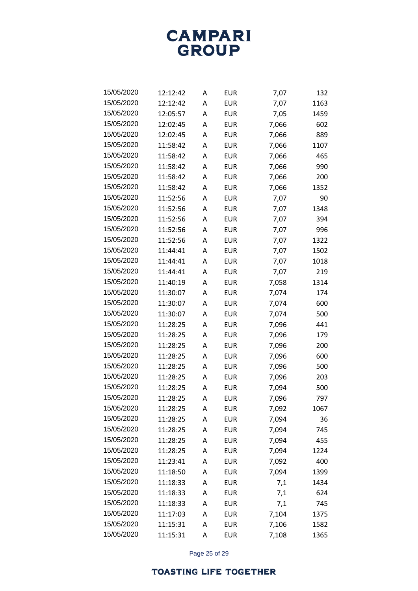**CAMPARI** GROUP

| 15/05/2020 | 12:12:42 | Α | EUR        | 7,07  | 132  |
|------------|----------|---|------------|-------|------|
| 15/05/2020 | 12:12:42 | A | <b>EUR</b> | 7,07  | 1163 |
| 15/05/2020 | 12:05:57 | Α | <b>EUR</b> | 7,05  | 1459 |
| 15/05/2020 | 12:02:45 | A | <b>EUR</b> | 7,066 | 602  |
| 15/05/2020 | 12:02:45 | Α | EUR        | 7,066 | 889  |
| 15/05/2020 | 11:58:42 | A | <b>EUR</b> | 7,066 | 1107 |
| 15/05/2020 | 11:58:42 | A | <b>EUR</b> | 7,066 | 465  |
| 15/05/2020 | 11:58:42 | А | <b>EUR</b> | 7,066 | 990  |
| 15/05/2020 | 11:58:42 | A | <b>EUR</b> | 7,066 | 200  |
| 15/05/2020 | 11:58:42 | A | <b>EUR</b> | 7,066 | 1352 |
| 15/05/2020 | 11:52:56 | A | EUR        | 7,07  | 90   |
| 15/05/2020 | 11:52:56 | А | <b>EUR</b> | 7,07  | 1348 |
| 15/05/2020 | 11:52:56 | Α | <b>EUR</b> | 7,07  | 394  |
| 15/05/2020 | 11:52:56 | A | <b>EUR</b> | 7,07  | 996  |
| 15/05/2020 | 11:52:56 | A | EUR        | 7,07  | 1322 |
| 15/05/2020 | 11:44:41 | А | <b>EUR</b> | 7,07  | 1502 |
| 15/05/2020 | 11:44:41 | A | <b>EUR</b> | 7,07  | 1018 |
| 15/05/2020 | 11:44:41 | A | <b>EUR</b> | 7,07  | 219  |
| 15/05/2020 | 11:40:19 | A | EUR        | 7,058 | 1314 |
| 15/05/2020 | 11:30:07 | А | <b>EUR</b> | 7,074 | 174  |
| 15/05/2020 | 11:30:07 | Α | <b>EUR</b> | 7,074 | 600  |
| 15/05/2020 | 11:30:07 | A | <b>EUR</b> | 7,074 | 500  |
| 15/05/2020 | 11:28:25 | Α | EUR        | 7,096 | 441  |
| 15/05/2020 | 11:28:25 | А | <b>EUR</b> | 7,096 | 179  |
| 15/05/2020 | 11:28:25 | Α | <b>EUR</b> | 7,096 | 200  |
| 15/05/2020 | 11:28:25 | A | <b>EUR</b> | 7,096 | 600  |
| 15/05/2020 | 11:28:25 | Α | EUR        | 7,096 | 500  |
| 15/05/2020 | 11:28:25 | A | <b>EUR</b> | 7,096 | 203  |
| 15/05/2020 | 11:28:25 | Α | EUR        | 7,094 | 500  |
| 15/05/2020 | 11:28:25 | A | EUR        | 7,096 | 797  |
| 15/05/2020 | 11:28:25 | Α | <b>EUR</b> | 7,092 | 1067 |
| 15/05/2020 | 11:28:25 | Α | <b>EUR</b> | 7,094 | 36   |
| 15/05/2020 | 11:28:25 | Α | <b>EUR</b> | 7,094 | 745  |
| 15/05/2020 | 11:28:25 | Α | <b>EUR</b> | 7,094 | 455  |
| 15/05/2020 | 11:28:25 | Α | <b>EUR</b> | 7,094 | 1224 |
| 15/05/2020 | 11:23:41 | Α | <b>EUR</b> | 7,092 | 400  |
| 15/05/2020 | 11:18:50 | Α | <b>EUR</b> | 7,094 | 1399 |
| 15/05/2020 | 11:18:33 | Α | <b>EUR</b> | 7,1   | 1434 |
| 15/05/2020 | 11:18:33 | Α | <b>EUR</b> | 7,1   | 624  |
| 15/05/2020 | 11:18:33 | Α | <b>EUR</b> | 7,1   | 745  |
| 15/05/2020 | 11:17:03 | Α | <b>EUR</b> | 7,104 | 1375 |
| 15/05/2020 | 11:15:31 | Α | <b>EUR</b> | 7,106 | 1582 |
| 15/05/2020 | 11:15:31 | Α | <b>EUR</b> | 7,108 | 1365 |

Page 25 of 29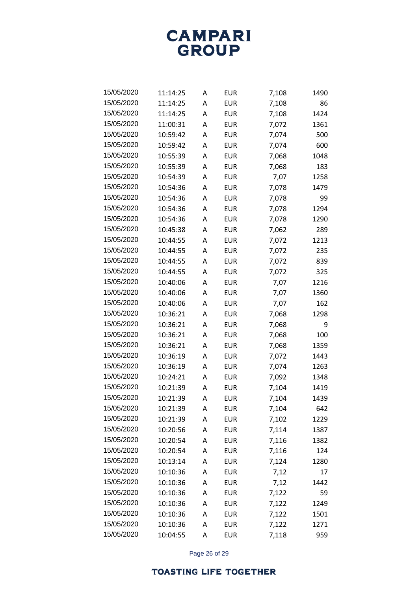**CAMPARI** GROUP

| 15/05/2020 | 11:14:25 | A | <b>EUR</b> | 7,108 | 1490 |
|------------|----------|---|------------|-------|------|
| 15/05/2020 | 11:14:25 | A | <b>EUR</b> | 7,108 | 86   |
| 15/05/2020 | 11:14:25 | A | EUR        | 7,108 | 1424 |
| 15/05/2020 | 11:00:31 | Α | <b>EUR</b> | 7,072 | 1361 |
| 15/05/2020 | 10:59:42 | A | <b>EUR</b> | 7,074 | 500  |
| 15/05/2020 | 10:59:42 | Α | <b>EUR</b> | 7,074 | 600  |
| 15/05/2020 | 10:55:39 | A | EUR        | 7,068 | 1048 |
| 15/05/2020 | 10:55:39 | A | <b>EUR</b> | 7,068 | 183  |
| 15/05/2020 | 10:54:39 | A | EUR        | 7,07  | 1258 |
| 15/05/2020 | 10:54:36 | Α | <b>EUR</b> | 7,078 | 1479 |
| 15/05/2020 | 10:54:36 | A | EUR        | 7,078 | 99   |
| 15/05/2020 | 10:54:36 | A | <b>EUR</b> | 7,078 | 1294 |
| 15/05/2020 | 10:54:36 | A | EUR        | 7,078 | 1290 |
| 15/05/2020 | 10:45:38 | Α | EUR        | 7,062 | 289  |
| 15/05/2020 | 10:44:55 | A | EUR        | 7,072 | 1213 |
| 15/05/2020 | 10:44:55 | Α | <b>EUR</b> | 7,072 | 235  |
| 15/05/2020 | 10:44:55 | A | EUR        | 7,072 | 839  |
| 15/05/2020 | 10:44:55 | Α | <b>EUR</b> | 7,072 | 325  |
| 15/05/2020 | 10:40:06 | A | EUR        | 7,07  | 1216 |
| 15/05/2020 | 10:40:06 | A | <b>EUR</b> | 7,07  | 1360 |
| 15/05/2020 | 10:40:06 | A | EUR        | 7,07  | 162  |
| 15/05/2020 | 10:36:21 | Α | EUR        | 7,068 | 1298 |
| 15/05/2020 | 10:36:21 | A | EUR        | 7,068 | 9    |
| 15/05/2020 | 10:36:21 | Α | <b>EUR</b> | 7,068 | 100  |
| 15/05/2020 | 10:36:21 | A | EUR        | 7,068 | 1359 |
| 15/05/2020 | 10:36:19 | Α | EUR        | 7,072 | 1443 |
| 15/05/2020 | 10:36:19 | A | EUR        | 7,074 | 1263 |
| 15/05/2020 | 10:24:21 | Α | EUR        | 7,092 | 1348 |
| 15/05/2020 | 10:21:39 | A | EUR        | 7,104 | 1419 |
| 15/05/2020 | 10:21:39 | A | EUR        | 7,104 | 1439 |
| 15/05/2020 | 10:21:39 | Α | <b>EUR</b> | 7,104 | 642  |
| 15/05/2020 | 10:21:39 | Α | <b>EUR</b> | 7,102 | 1229 |
| 15/05/2020 | 10:20:56 | Α | <b>EUR</b> | 7,114 | 1387 |
| 15/05/2020 | 10:20:54 | Α | <b>EUR</b> | 7,116 | 1382 |
| 15/05/2020 | 10:20:54 | Α | <b>EUR</b> | 7,116 | 124  |
| 15/05/2020 | 10:13:14 | Α | <b>EUR</b> | 7,124 | 1280 |
| 15/05/2020 | 10:10:36 | Α | <b>EUR</b> | 7,12  | 17   |
| 15/05/2020 | 10:10:36 | Α | <b>EUR</b> | 7,12  | 1442 |
| 15/05/2020 | 10:10:36 | Α | <b>EUR</b> | 7,122 | 59   |
| 15/05/2020 | 10:10:36 | Α | <b>EUR</b> | 7,122 | 1249 |
| 15/05/2020 | 10:10:36 | Α | <b>EUR</b> | 7,122 | 1501 |
| 15/05/2020 | 10:10:36 | Α | <b>EUR</b> | 7,122 | 1271 |
| 15/05/2020 | 10:04:55 | Α | <b>EUR</b> | 7,118 | 959  |

Page 26 of 29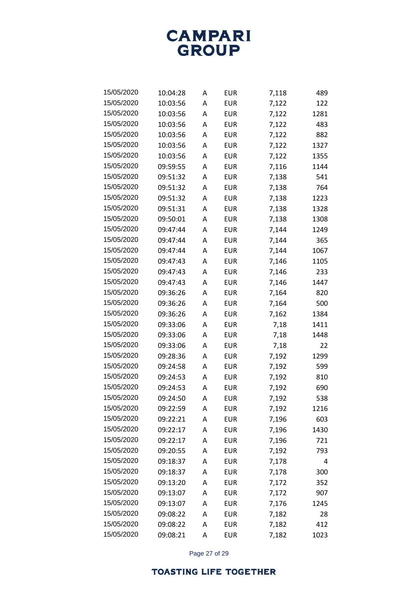

| 15/05/2020 | 10:04:28 | A | EUR        | 7,118 | 489  |
|------------|----------|---|------------|-------|------|
| 15/05/2020 | 10:03:56 | A | EUR        | 7,122 | 122  |
| 15/05/2020 | 10:03:56 | A | EUR        | 7,122 | 1281 |
| 15/05/2020 | 10:03:56 | A | EUR        | 7,122 | 483  |
| 15/05/2020 | 10:03:56 | A | EUR        | 7,122 | 882  |
| 15/05/2020 | 10:03:56 | A | EUR        | 7,122 | 1327 |
| 15/05/2020 | 10:03:56 | A | EUR        | 7,122 | 1355 |
| 15/05/2020 | 09:59:55 | A | EUR        | 7,116 | 1144 |
| 15/05/2020 | 09:51:32 | A | EUR        | 7,138 | 541  |
| 15/05/2020 | 09:51:32 | A | EUR        | 7,138 | 764  |
| 15/05/2020 | 09:51:32 | A | EUR        | 7,138 | 1223 |
| 15/05/2020 | 09:51:31 | A | EUR        | 7,138 | 1328 |
| 15/05/2020 | 09:50:01 | A | EUR        | 7,138 | 1308 |
| 15/05/2020 | 09:47:44 | A | EUR        | 7,144 | 1249 |
| 15/05/2020 | 09:47:44 | A | EUR        | 7,144 | 365  |
| 15/05/2020 | 09:47:44 | A | EUR        | 7,144 | 1067 |
| 15/05/2020 | 09:47:43 | A | EUR        | 7,146 | 1105 |
| 15/05/2020 | 09:47:43 | A | EUR        | 7,146 | 233  |
| 15/05/2020 | 09:47:43 | A | EUR        | 7,146 | 1447 |
| 15/05/2020 | 09:36:26 | A | EUR        | 7,164 | 820  |
| 15/05/2020 | 09:36:26 | A | EUR        | 7,164 | 500  |
| 15/05/2020 | 09:36:26 | A | EUR        | 7,162 | 1384 |
| 15/05/2020 | 09:33:06 | A | EUR        | 7,18  | 1411 |
| 15/05/2020 | 09:33:06 | A | EUR        | 7,18  | 1448 |
| 15/05/2020 | 09:33:06 | A | EUR        | 7,18  | 22   |
| 15/05/2020 | 09:28:36 | A | EUR        | 7,192 | 1299 |
| 15/05/2020 | 09:24:58 | A | <b>EUR</b> | 7,192 | 599  |
| 15/05/2020 | 09:24:53 | A | EUR        | 7,192 | 810  |
| 15/05/2020 | 09:24:53 | A | EUR        | 7,192 | 690  |
| 15/05/2020 | 09:24:50 | A | EUR        | 7,192 | 538  |
| 15/05/2020 | 09:22:59 | A | <b>EUR</b> | 7,192 | 1216 |
| 15/05/2020 | 09:22:21 | A | <b>EUR</b> | 7,196 | 603  |
| 15/05/2020 | 09:22:17 | A | <b>EUR</b> | 7,196 | 1430 |
| 15/05/2020 | 09:22:17 | A | <b>EUR</b> | 7,196 | 721  |
| 15/05/2020 | 09:20:55 | A | <b>EUR</b> | 7,192 | 793  |
| 15/05/2020 | 09:18:37 | Α | <b>EUR</b> | 7,178 | 4    |
| 15/05/2020 | 09:18:37 | A | <b>EUR</b> | 7,178 | 300  |
| 15/05/2020 | 09:13:20 | A | <b>EUR</b> | 7,172 | 352  |
| 15/05/2020 | 09:13:07 | A | <b>EUR</b> | 7,172 | 907  |
| 15/05/2020 | 09:13:07 | Α | <b>EUR</b> | 7,176 | 1245 |
| 15/05/2020 | 09:08:22 | A | <b>EUR</b> | 7,182 | 28   |
| 15/05/2020 | 09:08:22 | Α | <b>EUR</b> | 7,182 | 412  |
| 15/05/2020 | 09:08:21 | А | <b>EUR</b> | 7,182 | 1023 |

Page 27 of 29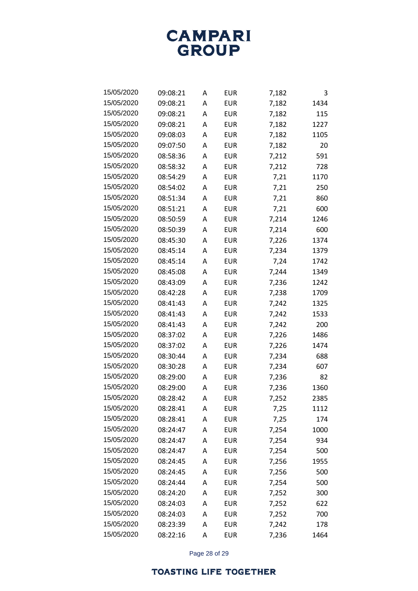

| 15/05/2020 | 09:08:21 | A | EUR        | 7,182 | 3    |
|------------|----------|---|------------|-------|------|
| 15/05/2020 | 09:08:21 | A | EUR        | 7,182 | 1434 |
| 15/05/2020 | 09:08:21 | A | <b>EUR</b> | 7,182 | 115  |
| 15/05/2020 | 09:08:21 | A | EUR        | 7,182 | 1227 |
| 15/05/2020 | 09:08:03 | A | EUR        | 7,182 | 1105 |
| 15/05/2020 | 09:07:50 | A | EUR        | 7,182 | 20   |
| 15/05/2020 | 08:58:36 | A | EUR        | 7,212 | 591  |
| 15/05/2020 | 08:58:32 | A | EUR        | 7,212 | 728  |
| 15/05/2020 | 08:54:29 | A | <b>EUR</b> | 7,21  | 1170 |
| 15/05/2020 | 08:54:02 | A | EUR        | 7,21  | 250  |
| 15/05/2020 | 08:51:34 | A | EUR        | 7,21  | 860  |
| 15/05/2020 | 08:51:21 | A | EUR        | 7,21  | 600  |
| 15/05/2020 | 08:50:59 | A | EUR        | 7,214 | 1246 |
| 15/05/2020 | 08:50:39 | A | <b>EUR</b> | 7,214 | 600  |
| 15/05/2020 | 08:45:30 | A | EUR        | 7,226 | 1374 |
| 15/05/2020 | 08:45:14 | A | <b>EUR</b> | 7,234 | 1379 |
| 15/05/2020 | 08:45:14 | A | <b>EUR</b> | 7,24  | 1742 |
| 15/05/2020 | 08:45:08 | A | <b>EUR</b> | 7,244 | 1349 |
| 15/05/2020 | 08:43:09 | A | EUR        | 7,236 | 1242 |
| 15/05/2020 | 08:42:28 | A | EUR        | 7,238 | 1709 |
| 15/05/2020 | 08:41:43 | A | EUR        | 7,242 | 1325 |
| 15/05/2020 | 08:41:43 | A | EUR        | 7,242 | 1533 |
| 15/05/2020 | 08:41:43 | A | EUR        | 7,242 | 200  |
| 15/05/2020 | 08:37:02 | A | EUR        | 7,226 | 1486 |
| 15/05/2020 | 08:37:02 | A | EUR        | 7,226 | 1474 |
| 15/05/2020 | 08:30:44 | A | EUR        | 7,234 | 688  |
| 15/05/2020 | 08:30:28 | A | <b>EUR</b> | 7,234 | 607  |
| 15/05/2020 | 08:29:00 | A | EUR        | 7,236 | 82   |
| 15/05/2020 | 08:29:00 | A | EUR        | 7,236 | 1360 |
| 15/05/2020 | 08:28:42 | A | EUR        | 7,252 | 2385 |
| 15/05/2020 | 08:28:41 | A | <b>EUR</b> | 7,25  | 1112 |
| 15/05/2020 | 08:28:41 | A | <b>EUR</b> | 7,25  | 174  |
| 15/05/2020 | 08:24:47 | A | <b>EUR</b> | 7,254 | 1000 |
| 15/05/2020 | 08:24:47 | A | <b>EUR</b> | 7,254 | 934  |
| 15/05/2020 | 08:24:47 | Α | <b>EUR</b> | 7,254 | 500  |
| 15/05/2020 | 08:24:45 | Α | <b>EUR</b> | 7,256 | 1955 |
| 15/05/2020 | 08:24:45 | Α | <b>EUR</b> | 7,256 | 500  |
| 15/05/2020 | 08:24:44 | A | <b>EUR</b> | 7,254 | 500  |
| 15/05/2020 | 08:24:20 | Α | <b>EUR</b> | 7,252 | 300  |
| 15/05/2020 | 08:24:03 | Α | <b>EUR</b> | 7,252 | 622  |
| 15/05/2020 | 08:24:03 | A | <b>EUR</b> | 7,252 | 700  |
| 15/05/2020 | 08:23:39 | Α | <b>EUR</b> | 7,242 | 178  |
| 15/05/2020 | 08:22:16 | Α | <b>EUR</b> | 7,236 | 1464 |

Page 28 of 29